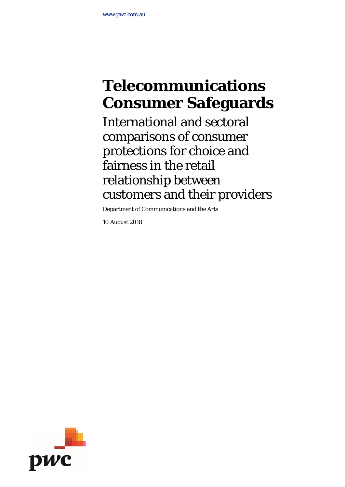# **Telecommunications Consumer Safeguards**

International and sectoral comparisons of consumer protections for choice and fairness in the retail relationship between customers and their providers

Department of Communications and the Arts

10 August 2018

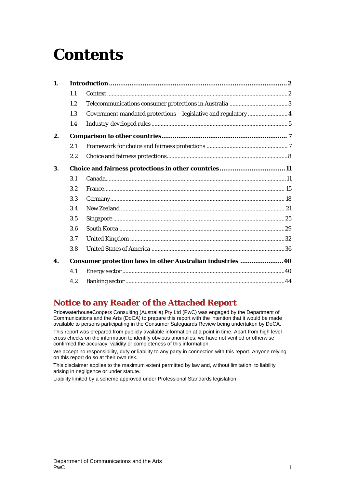# **Contents**

| $\mathbf{1}$ .     |     |                                                                 |  |  |  |  |  |  |  |
|--------------------|-----|-----------------------------------------------------------------|--|--|--|--|--|--|--|
|                    | 1.1 |                                                                 |  |  |  |  |  |  |  |
|                    | 1.2 |                                                                 |  |  |  |  |  |  |  |
|                    | 1.3 | Government mandated protections - legislative and regulatory  4 |  |  |  |  |  |  |  |
|                    | 1.4 |                                                                 |  |  |  |  |  |  |  |
| 2.                 |     |                                                                 |  |  |  |  |  |  |  |
|                    | 2.1 |                                                                 |  |  |  |  |  |  |  |
|                    | 2.2 |                                                                 |  |  |  |  |  |  |  |
| 3.                 |     | Choice and fairness protections in other countries11            |  |  |  |  |  |  |  |
|                    | 3.1 |                                                                 |  |  |  |  |  |  |  |
|                    | 3.2 |                                                                 |  |  |  |  |  |  |  |
|                    | 3.3 |                                                                 |  |  |  |  |  |  |  |
|                    | 3.4 |                                                                 |  |  |  |  |  |  |  |
|                    | 3.5 |                                                                 |  |  |  |  |  |  |  |
|                    | 3.6 |                                                                 |  |  |  |  |  |  |  |
|                    | 3.7 |                                                                 |  |  |  |  |  |  |  |
|                    | 3.8 |                                                                 |  |  |  |  |  |  |  |
| $\boldsymbol{4}$ . |     | Consumer protection laws in other Australian industries 40      |  |  |  |  |  |  |  |
|                    | 4.1 |                                                                 |  |  |  |  |  |  |  |
|                    | 4.2 |                                                                 |  |  |  |  |  |  |  |

# **Notice to any Reader of the Attached Report**

PricewaterhouseCoopers Consulting (Australia) Pty Ltd (PwC) was engaged by the Department of Communications and the Arts (DoCA) to prepare this report with the intention that it would be made available to persons participating in the Consumer Safeguards Review being undertaken by DoCA. This report was prepared from publicly available information at a point in time. Apart from high level cross checks on the information to identify obvious anomalies, we have not verified or otherwise confirmed the accuracy, validity or completeness of this information.

We accept no responsibility, duty or liability to any party in connection with this report. Anyone relying on this report do so at their own risk.

This disclaimer applies to the maximum extent permitted by law and, without limitation, to liability arising in negligence or under statute.

Liability limited by a scheme approved under Professional Standards legislation.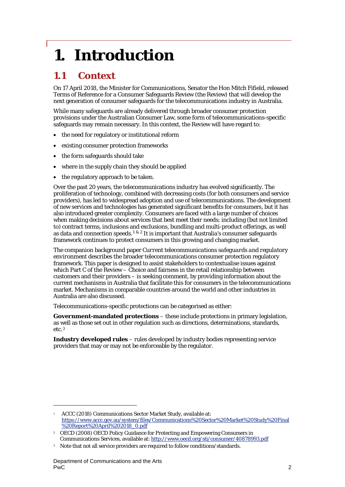# <span id="page-2-0"></span>**1. Introduction**

# <span id="page-2-1"></span>**1.1 Context**

On 17 April 2018, the Minister for Communications, Senator the Hon Mitch Fifield, released Terms of Reference for a Consumer Safeguards Review (the Review) that will develop the next generation of consumer safeguards for the telecommunications industry in Australia.

While many safeguards are already delivered through broader consumer protection provisions under the Australian Consumer Law, some form of telecommunications-specific safeguards may remain necessary. In this context, the Review will have regard to:

- the need for regulatory or institutional reform
- existing consumer protection frameworks
- the form safeguards should take
- where in the supply chain they should be applied
- the regulatory approach to be taken.

Over the past 20 years, the telecommunications industry has evolved significantly. The proliferation of technology, combined with decreasing costs (for both consumers and service providers), has led to widespread adoption and use of telecommunications. The development of new services and technologies has generated significant benefits for consumers, but it has also introduced greater complexity. Consumers are faced with a large number of choices when making decisions about services that best meet their needs; including (but not limited to) contract terms, inclusions and exclusions, bundling and multi-product offerings, as well as data and connection speeds.<sup>[1](#page-2-2) & [2](#page-2-3)</sup> It is important that Australia's consumer safeguards framework continues to protect consumers in this growing and changing market.

The companion background paper *Current telecommunications safeguards and regulatory environment* describes the broader telecommunications consumer protection regulatory framework. This paper is designed to assist stakeholders to contextualise issues against which Part C of the Review – Choice and fairness in the retail relationship between customers and their providers – is seeking comment, by providing information about the current mechanisms in Australia that facilitate this for consumers in the telecommunications market. Mechanisms in comparable countries around the world and other industries in Australia are also discussed.

Telecommunications-specific protections can be categorised as either:

**Government-mandated protections** – these include protections in primary legislation, as well as those set out in other regulation such as directions, determinations, standards, etc.[3](#page-2-4)

**Industry developed rules** – rules developed by industry bodies representing service providers that may or may not be enforceable by the regulator.

<span id="page-2-2"></span><sup>1</sup> ACCC (2018) Communications Sector Market Study, available at: [https://www.accc.gov.au/system/files/Communications%20Sector%20Market%20Study%20Final](https://www.accc.gov.au/system/files/Communications%20Sector%20Market%20Study%20Final%20Report%20April%202018_0.pdf) [%20Report%20April%202018\\_0.pdf](https://www.accc.gov.au/system/files/Communications%20Sector%20Market%20Study%20Final%20Report%20April%202018_0.pdf)

<span id="page-2-3"></span><sup>2</sup> OECD (2008) OECD Policy Guidance for Protecting and Empowering Consumers in Communications Services, available at:<http://www.oecd.org/sti/consumer/40878993.pdf>

<span id="page-2-4"></span><sup>&</sup>lt;sup>3</sup> Note that not all service providers are required to follow conditions/standards.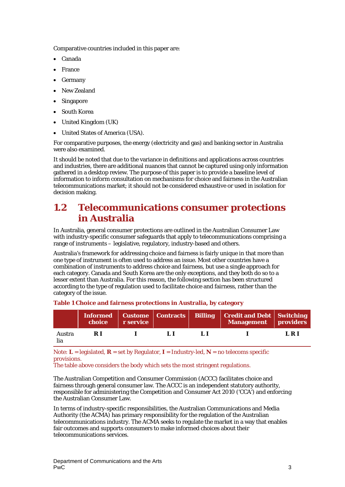Comparative countries included in this paper are:

- Canada
- **France**
- **Germany**
- New Zealand
- **Singapore**
- South Korea
- United Kingdom (UK)
- United States of America (USA).

For comparative purposes, the energy (electricity and gas) and banking sector in Australia were also examined.

It should be noted that due to the variance in definitions and applications across countries and industries, there are additional nuances that cannot be captured using only information gathered in a desktop review. The purpose of this paper is to provide a baseline level of information to inform consultation on mechanisms for choice and fairness in the Australian telecommunications market; it should not be considered exhaustive or used in isolation for decision making.

# <span id="page-3-0"></span>**1.2 Telecommunications consumer protections in Australia**

In Australia, general consumer protections are outlined in the Australian Consumer Law with industry-specific consumer safeguards that apply to telecommunications comprising a range of instruments – legislative, regulatory, industry-based and others.

Australia's framework for addressing choice and fairness is fairly unique in that more than one type of instrument is often used to address an issue. Most other countries have a combination of instruments to address choice and fairness, but use a single approach for each category. Canada and South Korea are the only exceptions, and they both do so to a lesser extent than Australia. For this reason, the following section has been structured according to the type of regulation used to facilitate choice and fairness, rather than the category of the issue.

|               | choice | r service |  | <b>Informed</b>   Custome   Contracts   Billing   Credit and Debt   Switching<br>Management providers |       |
|---------------|--------|-----------|--|-------------------------------------------------------------------------------------------------------|-------|
| Austra<br>lia | R I    |           |  |                                                                                                       | L R I |

#### **Table 1 Choice and fairness protections in Australia, by category**

Note:  $L =$  legislated,  $R =$  set by Regulator,  $I =$  Industry-led,  $N =$  no telecoms specific provisions.

The table above considers the body which sets the most stringent regulations.

The Australian Competition and Consumer Commission (ACCC) facilitates choice and fairness through general consumer law. The ACCC is an independent statutory authority, responsible for administering the Competition and Consumer Act 2010 ('CCA') and enforcing the Australian Consumer Law.

In terms of industry-specific responsibilities, the Australian Communications and Media Authority (the ACMA) has primary responsibility for the regulation of the Australian telecommunications industry. The ACMA seeks to regulate the market in a way that enables fair outcomes and supports consumers to make informed choices about their telecommunications services.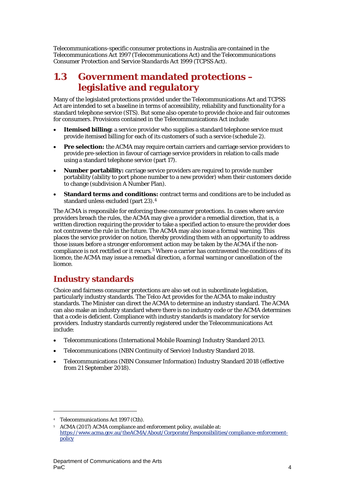Telecommunications-specific consumer protections in Australia are contained in the *Telecommunications Act 1997* (Telecommunications Act) and the *Telecommunications Consumer Protection and Service Standards Act 1999* (TCPSS Act).

# <span id="page-4-0"></span>**1.3 Government mandated protections – legislative and regulatory**

Many of the legislated protections provided under the Telecommunications Act and TCPSS Act are intended to set a baseline in terms of accessibility, reliability and functionality for a standard telephone service (STS). But some also operate to provide choice and fair outcomes for consumers. Provisions contained in the Telecommunications Act include:

- **Itemised billing:** a service provider who supplies a standard telephone service must provide itemised billing for each of its customers of such a service (schedule 2).
- **Pre selection:** the ACMA may require certain carriers and carriage service providers to provide pre-selection in favour of carriage service providers in relation to calls made using a standard telephone service (part 17).
- **Number portability:** carriage service providers are required to provide number portability (ability to port phone number to a new provider) when their customers decide to change (subdivision A Number Plan).
- **Standard terms and conditions:** contract terms and conditions are to be included as standard unless excluded (part 23).[4](#page-4-1)

The ACMA is responsible for enforcing these consumer protections. In cases where service providers breach the rules, the ACMA may give a provider a remedial direction, that is, a written direction requiring the provider to take a specified action to ensure the provider does not contravene the rule in the future. The ACMA may also issue a formal warning. This places the service provider on notice, thereby providing them with an opportunity to address those issues before a stronger enforcement action may be taken by the ACMA if the non-compliance is not rectified or it recurs.<sup>[5](#page-4-2)</sup> Where a carrier has contravened the conditions of its licence, the ACMA may issue a remedial direction, a formal warning or cancellation of the licence.

# **Industry standards**

Choice and fairness consumer protections are also set out in subordinate legislation, particularly industry standards. The Telco Act provides for the ACMA to make industry standards. The Minister can direct the ACMA to determine an industry standard. The ACMA can also make an industry standard where there is no industry code or the ACMA determines that a code is deficient. Compliance with industry standards is mandatory for service providers. Industry standards currently registered under the Telecommunications Act include:

- Telecommunications (International Mobile Roaming) Industry Standard 2013.
- Telecommunications (NBN Continuity of Service) Industry Standard 2018.
- Telecommunications (NBN Consumer Information) Industry Standard 2018 (effective from 21 September 2018).

<span id="page-4-2"></span><span id="page-4-1"></span><sup>4</sup> *Telecommunications Act 1997* (Cth).

<sup>5</sup> ACMA (2017) ACMA compliance and enforcement policy, available at: [https://www.acma.gov.au/theACMA/About/Corporate/Responsibilities/compliance-enforcement](https://www.acma.gov.au/theACMA/About/Corporate/Responsibilities/compliance-enforcement-policy)[policy](https://www.acma.gov.au/theACMA/About/Corporate/Responsibilities/compliance-enforcement-policy)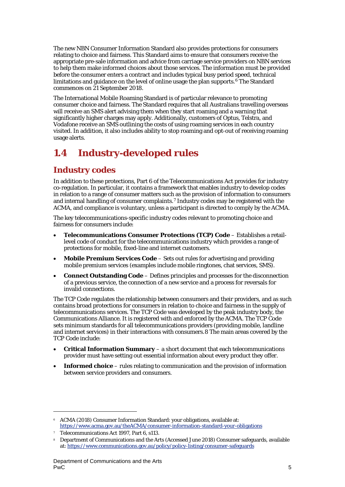The new NBN Consumer Information Standard also provides protections for consumers relating to choice and fairness. This Standard aims to ensure that consumers receive the appropriate pre-sale information and advice from carriage service providers on NBN services to help them make informed choices about those services. The information must be provided before the consumer enters a contract and includes typical busy period speed, technical limitations and guidance on the level of online usage the plan supports. $6$  The Standard commences on 21 September 2018.

The International Mobile Roaming Standard is of particular relevance to promoting consumer choice and fairness. The Standard requires that all Australians travelling overseas will receive an SMS alert advising them when they start roaming and a warning that significantly higher charges may apply. Additionally, customers of Optus, Telstra, and Vodafone receive an SMS outlining the costs of using roaming services in each country visited. In addition, it also includes ability to stop roaming and opt-out of receiving roaming usage alerts.

# <span id="page-5-0"></span>**1.4 Industry-developed rules**

# **Industry codes**

In addition to these protections, Part 6 of the Telecommunications Act provides for industry co-regulation. In particular, it contains a framework that enables industry to develop codes in relation to a range of consumer matters such as the provision of information to consumers and internal handling of consumer complaints.[7](#page-5-2) Industry codes may be registered with the ACMA, and compliance is voluntary, unless a participant is directed to comply by the ACMA.

The key telecommunications-specific industry codes relevant to promoting choice and fairness for consumers include:

- **Telecommunications Consumer Protections (TCP) Code** Establishes a retaillevel code of conduct for the telecommunications industry which provides a range of protections for mobile, fixed-line and internet customers.
- **Mobile Premium Services Code** Sets out rules for advertising and providing mobile premium services (examples include mobile ringtones, chat services, SMS).
- **Connect Outstanding Code** Defines principles and processes for the disconnection of a previous service, the connection of a new service and a process for reversals for invalid connections.

The TCP Code regulates the relationship between consumers and their providers, and as such contains broad protections for consumers in relation to choice and fairness in the supply of telecommunications services. The TCP Code was developed by the peak industry body, the Communications Alliance. It is registered with and enforced by the ACMA. The TCP Code sets minimum standards for all telecommunications providers (providing mobile, landline and internet services) in their interactions with consumers.[8](#page-5-3) The main areas covered by the TCP Code include:

- **Critical Information Summary** a short document that each telecommunications provider must have setting out essential information about every product they offer.
- **Informed choice** rules relating to communication and the provision of information between service providers and consumers.

1

<span id="page-5-1"></span><sup>6</sup> ACMA (2018) Consumer Information Standard: your obligations, available at: <https://www.acma.gov.au/theACMA/consumer-information-standard-your-obligations>

<span id="page-5-2"></span><sup>7</sup> Telecommunications Act 1997, Part 6, s113.

<span id="page-5-3"></span><sup>8</sup> Department of Communications and the Arts (Accessed June 2018) Consumer safeguards, available at[: https://www.communications.gov.au/policy/policy-listing/consumer-safeguards](https://www.communications.gov.au/policy/policy-listing/consumer-safeguards)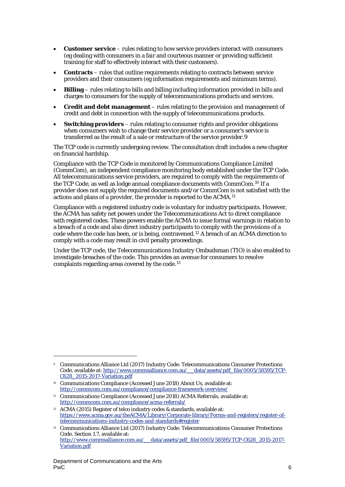- **Customer service** rules relating to how service providers interact with consumers (eg dealing with consumers in a fair and courteous manner or providing sufficient training for staff to effectively interact with their customers).
- **Contracts** rules that outline requirements relating to contracts between service providers and their consumers (eg information requirements and minimum terms).
- **Billing** rules relating to bills and billing including information provided in bills and charges to consumers for the supply of telecommunications products and services.
- **Credit and debt management** rules relating to the provision and management of credit and debt in connection with the supply of telecommunications products.
- **Switching providers** rules relating to consumer rights and provider obligations when consumers wish to change their service provider or a consumer's service is transferred as the result of a sale or restructure of the service provider.[9](#page-6-0)

The TCP code is currently undergoing review. The consultation draft includes a new chapter on financial hardship.

Compliance with the TCP Code is monitored by Communications Compliance Limited (CommCom), an independent compliance monitoring body established under the TCP Code. All telecommunications service providers, are required to comply with the requirements of the TCP Code, as well as lodge annual compliance documents with CommCom.[10](#page-6-1) If a provider does not supply the required documents and/or CommCom is not satisfied with the actions and plans of a provider, the provider is reported to the ACMA.[11](#page-6-2)

Compliance with a registered industry code is voluntary for industry participants. However, the ACMA has safety net powers under the Telecommunications Act to direct compliance with registered codes. These powers enable the ACMA to issue formal warnings in relation to a breach of a code and also direct industry participants to comply with the provisions of a code where the code has been, or is being, contravened.[12](#page-6-3) A breach of an ACMA direction to comply with a code may result in civil penalty proceedings.

Under the TCP code, the Telecommunications Industry Ombudsman (TIO) is also enabled to investigate breaches of the code. This provides an avenue for consumers to resolve complaints regarding areas covered by the code.[13](#page-6-4)

1

<span id="page-6-0"></span><sup>9</sup> Communications Alliance Ltd (2017) Industry Code: Telecommunications Consumer Protections Code, available at[: http://www.commsalliance.com.au/\\_\\_data/assets/pdf\\_file/0005/58595/TCP-](http://www.commsalliance.com.au/__data/assets/pdf_file/0005/58595/TCP-C628_2015-2017-Variation.pdf)[C628\\_2015-2017-Variation.pdf](http://www.commsalliance.com.au/__data/assets/pdf_file/0005/58595/TCP-C628_2015-2017-Variation.pdf)

<span id="page-6-1"></span><sup>10</sup> Communications Compliance (Accessed June 2018) About Us, available at: <http://commcom.com.au/compliance/compliance-framework-overview/>

<span id="page-6-2"></span><sup>&</sup>lt;sup>11</sup> Communications Compliance (Accessed June 2018) ACMA Referrals, available at: <http://commcom.com.au/compliance/acma-referrals/>

<span id="page-6-3"></span><sup>&</sup>lt;sup>12</sup> ACMA (2015) Register of telco industry codes & standards, available at: [https://www.acma.gov.au/theACMA/Library/Corporate-library/Forms-and-registers/register-of](https://www.acma.gov.au/theACMA/Library/Corporate-library/Forms-and-registers/register-of-telecommunications-industry-codes-and-standards#register)[telecommunications-industry-codes-and-standards#register](https://www.acma.gov.au/theACMA/Library/Corporate-library/Forms-and-registers/register-of-telecommunications-industry-codes-and-standards#register)

<span id="page-6-4"></span><sup>13</sup> Communications Alliance Ltd (2017) Industry Code: Telecommunications Consumer Protections Code. Section 1.7, available at: [http://www.commsalliance.com.au/\\_\\_data/assets/pdf\\_file/0005/58595/TCP-C628\\_2015-2017-](http://www.commsalliance.com.au/__data/assets/pdf_file/0005/58595/TCP-C628_2015-2017-Variation.pdf) [Variation.pdf](http://www.commsalliance.com.au/__data/assets/pdf_file/0005/58595/TCP-C628_2015-2017-Variation.pdf)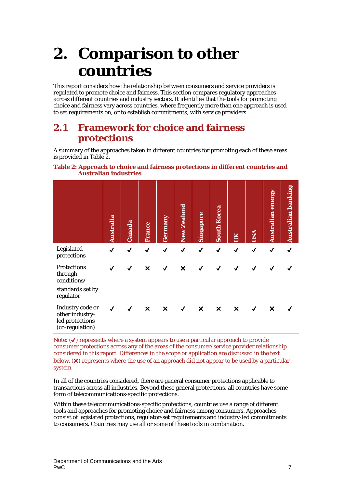# <span id="page-7-0"></span>**2. Comparison to other countries**

This report considers how the relationship between consumers and service providers is regulated to promote choice and fairness. This section compares regulatory approaches across different countries and industry sectors. It identifies that the tools for promoting choice and fairness vary across countries, where frequently more than one approach is used to set requirements on, or to establish commitments, with service providers.

# <span id="page-7-1"></span>**2.1 Framework for choice and fairness protections**

A summary of the approaches taken in different countries for promoting each of these areas is provided in [Table 2.](#page-7-2)

<span id="page-7-2"></span>

|                              | Table 2: Approach to choice and fairness protections in different countries and |
|------------------------------|---------------------------------------------------------------------------------|
| <b>Australian industries</b> |                                                                                 |

|                                                                               | Australia    | Canada       | France                    | Germany                   | <b>New Zealand</b> | Singapore                 | <b>South Korea</b>        | š                         | USA          | <b>Australian energy</b> | Australian banking |
|-------------------------------------------------------------------------------|--------------|--------------|---------------------------|---------------------------|--------------------|---------------------------|---------------------------|---------------------------|--------------|--------------------------|--------------------|
| Legislated<br>protections                                                     | $\checkmark$ | $\checkmark$ | √                         | $\checkmark$              | ✔                  | ✔                         | $\checkmark$              | √                         | $\checkmark$ | √                        | √                  |
| <b>Protections</b><br>through<br>conditions/<br>standards set by<br>regulator |              |              | ×                         |                           | X                  |                           |                           |                           |              |                          |                    |
| Industry code or<br>other industry-<br>led protections<br>(co-regulation)     | $\checkmark$ | $\checkmark$ | $\boldsymbol{\mathsf{x}}$ | $\boldsymbol{\mathsf{x}}$ | $\checkmark$       | $\boldsymbol{\mathsf{x}}$ | $\boldsymbol{\mathsf{x}}$ | $\boldsymbol{\mathsf{x}}$ | √            | ×                        |                    |

Note:  $(\checkmark)$  represents where a system appears to use a particular approach to provide consumer protections across any of the areas of the consumer/service provider relationship considered in this report. Differences in the scope or application are discussed in the text below. (✖) represents where the use of an approach did not appear to be used by a particular system.

In all of the countries considered, there are general consumer protections applicable to transactions across all industries. Beyond these general protections, all countries have some form of telecommunications-specific protections.

Within these telecommunications-specific protections, countries use a range of different tools and approaches for promoting choice and fairness among consumers. Approaches consist of legislated protections, regulator-set requirements and industry-led commitments to consumers. Countries may use all or some of these tools in combination.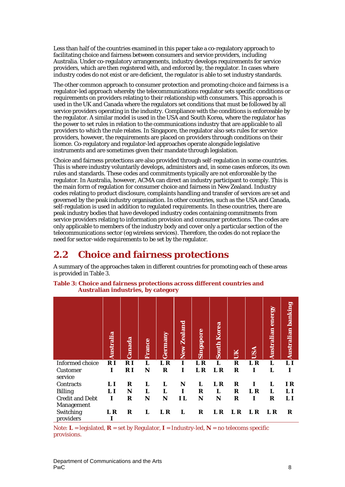Less than half of the countries examined in this paper take a co-regulatory approach to facilitating choice and fairness between consumers and service providers, including Australia. Under co-regulatory arrangements, industry develops requirements for service providers, which are then registered with, and enforced by, the regulator. In cases where industry codes do not exist or are deficient, the regulator is able to set industry standards.

The other common approach to consumer protection and promoting choice and fairness is a regulator-led approach whereby the telecommunications regulator sets specific conditions or requirements on providers relating to their relationship with consumers. This approach is used in the UK and Canada where the regulators set conditions that must be followed by all service providers operating in the industry. Compliance with the conditions is enforceable by the regulator. A similar model is used in the USA and South Korea, where the regulator has the power to set rules in relation to the communications industry that are applicable to all providers to which the rule relates. In Singapore, the regulator also sets rules for service providers, however, the requirements are placed on providers through conditions on their licence. Co-regulatory and regulator-led approaches operate alongside legislative instruments and are sometimes given their mandate through legislation.

Choice and fairness protections are also provided through self-regulation in some countries. This is where industry voluntarily develops, administers and, in some cases enforces, its own rules and standards. These codes and commitments typically are not enforceable by the regulator. In Australia, however, ACMA can direct an industry participant to comply. This is the main form of regulation for consumer choice and fairness in New Zealand. Industry codes relating to product disclosure, complaints handling and transfer of services are set and governed by the peak industry organisation. In other countries, such as the USA and Canada, self-regulation is used in addition to regulated requirements. In these countries, there are peak industry bodies that have developed industry codes containing commitments from service providers relating to information provision and consumer protections. The codes are only applicable to members of the industry body and cover only a particular section of the telecommunications sector (eg wireless services). Therefore, the codes do not replace the need for sector-wide requirements to be set by the regulator.

# <span id="page-8-0"></span>**2.2 Choice and fairness protections**

A summary of the approaches taken in different countries for promoting each of these areas is provided in [Table 3.](#page-8-1)

|                        | Australia   | Canada | France | Germany | New Zealand | Singapore | <b>South Korea</b> |     | <b>USA</b> | energy<br>Australian | Australian banking |
|------------------------|-------------|--------|--------|---------|-------------|-----------|--------------------|-----|------------|----------------------|--------------------|
| <b>Informed</b> choice | RI          | R I    | L      | L R     | T           | L R       | T.                 | R   | L R        | L                    | LI                 |
| <b>Customer</b>        | I           | R I    | N      | R       | T           | L R       | L R                | R   |            | L                    |                    |
| service                |             |        |        |         |             |           |                    |     |            |                      |                    |
| Contracts              | LI          | R      | L      | I.      | N           | L         | L R                | R   |            | I.                   | I R                |
| Billing                | LI          | N      | L      | L       | 1           | R         | I.                 | R   | L R        | L                    | LI                 |
| <b>Credit and Debt</b> | $\mathbf I$ | R      | N      | N       | 1 L         | N         | N                  | R   | Т          | R                    | $\bf{L}$           |
| Management             |             |        |        |         |             |           |                    |     |            |                      |                    |
| Switching              | L R         | R      | L      | L R     | L           | R         | L R                | L R | L R        | L R                  | R                  |
| providers              |             |        |        |         |             |           |                    |     |            |                      |                    |

<span id="page-8-1"></span>**Table 3: Choice and fairness protections across different countries and Australian industries, by category**

Note:  $L =$  legislated,  $R =$  set by Regulator,  $I =$  Industry-led,  $N =$  no telecoms specific provisions.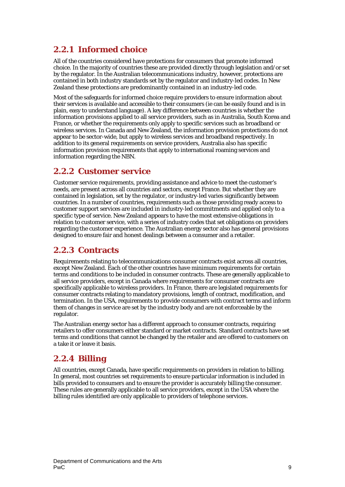# **2.2.1 Informed choice**

All of the countries considered have protections for consumers that promote informed choice. In the majority of countries these are provided directly through legislation and/or set by the regulator. In the Australian telecommunications industry, however, protections are contained in both industry standards set by the regulator and industry-led codes. In New Zealand these protections are predominantly contained in an industry-led code.

Most of the safeguards for informed choice require providers to ensure information about their services is available and accessible to their consumers (ie can be easily found and is in plain, easy to understand language). A key difference between countries is whether the information provisions applied to all service providers, such as in Australia, South Korea and France, or whether the requirements only apply to specific services such as broadband or wireless services. In Canada and New Zealand, the information provision protections do not appear to be sector-wide, but apply to wireless services and broadband respectively. In addition to its general requirements on service providers, Australia also has specific information provision requirements that apply to international roaming services and information regarding the NBN.

## **2.2.2 Customer service**

Customer service requirements, providing assistance and advice to meet the customer's needs, are present across all countries and sectors, except France. But whether they are contained in legislation, set by the regulator, or industry-led varies significantly between countries. In a number of countries, requirements such as those providing ready access to customer support services are included in industry-led commitments and applied only to a specific type of service. New Zealand appears to have the most extensive obligations in relation to customer service, with a series of industry codes that set obligations on providers regarding the customer experience. The Australian energy sector also has general provisions designed to ensure fair and honest dealings between a consumer and a retailer.

## **2.2.3 Contracts**

Requirements relating to telecommunications consumer contracts exist across all countries, except New Zealand. Each of the other countries have minimum requirements for certain terms and conditions to be included in consumer contracts. These are generally applicable to all service providers, except in Canada where requirements for consumer contracts are specifically applicable to wireless providers. In France, there are legislated requirements for consumer contracts relating to mandatory provisions, length of contract, modification, and termination. In the USA, requirements to provide consumers with contract terms and inform them of changes in service are set by the industry body and are not enforceable by the regulator.

The Australian energy sector has a different approach to consumer contracts, requiring retailers to offer consumers either standard or market contracts. Standard contracts have set terms and conditions that cannot be changed by the retailer and are offered to customers on a take it or leave it basis.

# **2.2.4 Billing**

All countries, except Canada, have specific requirements on providers in relation to billing. In general, most countries set requirements to ensure particular information is included in bills provided to consumers and to ensure the provider is accurately billing the consumer. These rules are generally applicable to all service providers, except in the USA where the billing rules identified are only applicable to providers of telephone services.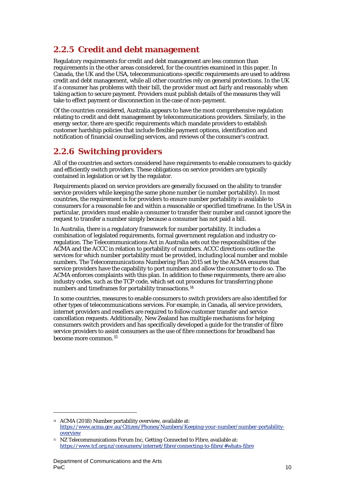# **2.2.5 Credit and debt management**

Regulatory requirements for credit and debt management are less common than requirements in the other areas considered, for the countries examined in this paper. In Canada, the UK and the USA, telecommunications-specific requirements are used to address credit and debt management, while all other countries rely on general protections. In the UK if a consumer has problems with their bill, the provider must act fairly and reasonably when taking action to secure payment. Providers must publish details of the measures they will take to effect payment or disconnection in the case of non-payment.

Of the countries considered, Australia appears to have the most comprehensive regulation relating to credit and debt management by telecommunications providers. Similarly, in the energy sector, there are specific requirements which mandate providers to establish customer hardship policies that include flexible payment options, identification and notification of financial counselling services, and reviews of the consumer's contract.

# **2.2.6 Switching providers**

All of the countries and sectors considered have requirements to enable consumers to quickly and efficiently switch providers. These obligations on service providers are typically contained in legislation or set by the regulator.

Requirements placed on service providers are generally focussed on the ability to transfer service providers while keeping the same phone number (ie number portability). In most countries, the requirement is for providers to ensure number portability is available to consumers for a reasonable fee and within a reasonable or specified timeframe. In the USA in particular, providers must enable a consumer to transfer their number and cannot ignore the request to transfer a number simply because a consumer has not paid a bill.

In Australia, there is a regulatory framework for number portability. It includes a combination of legislated requirements, formal government regulation and industry coregulation. The Telecommunications Act in Australia sets out the responsibilities of the ACMA and the ACCC in relation to portability of numbers. ACCC directions outline the services for which number portability must be provided, including local number and mobile numbers. The *Telecommunications Numbering Plan 2015* set by the ACMA ensures that service providers have the capability to port numbers and allow the consumer to do so. The ACMA enforces complaints with this plan. In addition to these requirements, there are also industry codes, such as the TCP code, which set out procedures for transferring phone numbers and timeframes for portability transactions.[14](#page-10-0)

In some countries, measures to enable consumers to switch providers are also identified for other types of telecommunications services. For example, in Canada, all service providers, internet providers and resellers are required to follow customer transfer and service cancellation requests. Additionally, New Zealand has multiple mechanisms for helping consumers switch providers and has specifically developed a guide for the transfer of fibre service providers to assist consumers as the use of fibre connections for broadband has become more common.[15](#page-10-1)

<span id="page-10-0"></span><sup>14</sup> ACMA (2018) Number portability overview, available at: [https://www.acma.gov.au/Citizen/Phones/Numbers/Keeping-your-number/number-portability](https://www.acma.gov.au/Citizen/Phones/Numbers/Keeping-your-number/number-portability-overview)[overview](https://www.acma.gov.au/Citizen/Phones/Numbers/Keeping-your-number/number-portability-overview)

<span id="page-10-1"></span><sup>15</sup> NZ Telecommunications Forum Inc, *Getting Connected to Fibre,* available at: <https://www.tcf.org.nz/consumers/internet/fibre/connecting-to-fibre/#whats-fibre>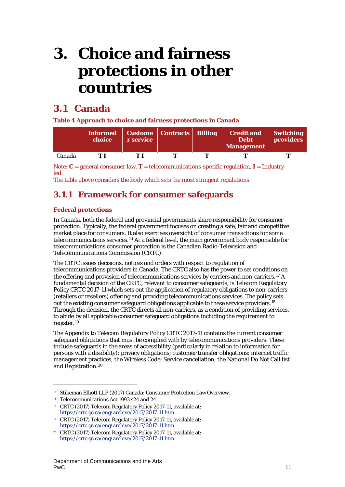# <span id="page-11-0"></span>**3. Choice and fairness protections in other countries**

# <span id="page-11-1"></span>**3.1 Canada**

**Table 4 Approach to choice and fairness protections in Canada**

|        | choice | r service | Informed   Custome   Contracts   Billing | <b>Credit and</b><br><b>Debt</b><br><b>Management</b> | <b>Switching</b><br>providers |
|--------|--------|-----------|------------------------------------------|-------------------------------------------------------|-------------------------------|
| Canada |        |           |                                          |                                                       |                               |

Note: **C** = general consumer law, **T** = telecommunications-specific regulation, **I** = Industryled.

The table above considers the body which sets the most stringent regulations.

# **3.1.1 Framework for consumer safeguards**

## **Federal protections**

In Canada, both the federal and provincial governments share responsibility for consumer protection. Typically, the federal government focuses on creating a safe, fair and competitive market place for consumers. It also exercises oversight of consumer transactions for some telecommunications services.[16](#page-11-2) At a federal level, the main government body responsible for telecommunications consumer protection is the Canadian Radio-Television and Telecommunications Commission (CRTC).

The CRTC issues decisions, notices and orders with respect to regulation of telecommunications providers in Canada. The CRTC also has the power to set conditions on the offering and provision of telecommunications services by carriers and non-carriers.[17](#page-11-3) A fundamental decision of the CRTC, relevant to consumer safeguards, is Telecom Regulatory Policy CRTC 2017-11 which sets out the application of regulatory obligations to non-carriers (retailers or resellers) offering and providing telecommunications services. The policy sets out the existing consumer safeguard obligations applicable to these service providers.[18](#page-11-4) Through the decision, the CRTC directs all non-carriers, as a condition of providing services, to abide by all applicable consumer safeguard obligations including the requirement to register.[19](#page-11-5)

The Appendix to Telecom Regulatory Policy CRTC 2017-11 contains the current consumer safeguard obligations that must be complied with by telecommunications providers. These include safeguards in the areas of accessibility (particularly in relation to information for persons with a disability); privacy obligations; customer transfer obligations; internet traffic management practices; the Wireless Code; Service cancellation; the National Do Not Call list and Registration.[20](#page-11-6)

<span id="page-11-2"></span><sup>16</sup> Stikeman Elliott LLP (2017) Canada: Consumer Protection Law Overview.

<span id="page-11-3"></span><sup>17</sup> *Telecommunications Act 1993* s24 and 24.1.

<span id="page-11-4"></span><sup>18</sup> CRTC (2017) Telecom Regulatory Policy 2017-11, available at: <https://crtc.gc.ca/eng/archive/2017/2017-11.htm>

<span id="page-11-5"></span><sup>19</sup> CRTC (2017) Telecom Regulatory Policy 2017-11, available at: <https://crtc.gc.ca/eng/archive/2017/2017-11.htm>

<span id="page-11-6"></span><sup>20</sup> CRTC (2017) Telecom Regulatory Policy 2017-11, available at: <https://crtc.gc.ca/eng/archive/2017/2017-11.htm>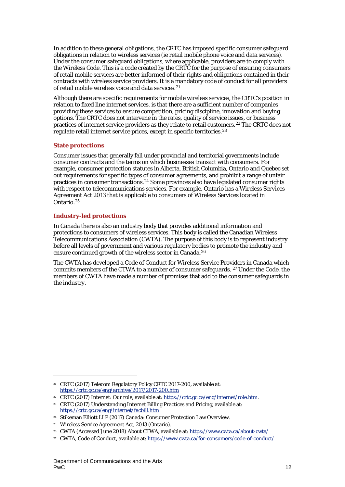In addition to these general obligations, the CRTC has imposed specific consumer safeguard obligations in relation to wireless services (ie retail mobile phone voice and data services). Under the consumer safeguard obligations, where applicable, providers are to comply with the Wireless Code. This is a code created by the CRTC for the purpose of ensuring consumers of retail mobile services are better informed of their rights and obligations contained in their contracts with wireless service providers. It is a mandatory code of conduct for all providers of retail mobile wireless voice and data services.<sup>[21](#page-12-0)</sup>

Although there are specific requirements for mobile wireless services, the CRTC's position in relation to fixed line internet services, is that there are a sufficient number of companies providing these services to ensure competition, pricing discipline, innovation and buying options. The CRTC does not intervene in the rates, quality of service issues, or business practices of internet service providers as they relate to retail customers.[22](#page-12-1) The CRTC does not regulate retail internet service prices, except in specific territories.<sup>[23](#page-12-2)</sup>

## **State protections**

Consumer issues that generally fall under provincial and territorial governments include consumer contracts and the terms on which businesses transact with consumers. For example, consumer protection statutes in Alberta, British Columbia, Ontario and Quebec set out requirements for specific types of consumer agreements, and prohibit a range of unfair practices in consumer transactions.[24](#page-12-3) Some provinces also have legislated consumer rights with respect to telecommunications services. For example, Ontario has a *Wireless Services Agreement Act 2013* that is applicable to consumers of Wireless Services located in Ontario.[25](#page-12-4)

## **Industry-led protections**

 $\overline{a}$ 

In Canada there is also an industry body that provides additional information and protections to consumers of wireless services. This body is called the Canadian Wireless Telecommunications Association (CWTA). The purpose of this body is to represent industry before all levels of government and various regulatory bodies to promote the industry and ensure continued growth of the wireless sector in Canada.[26](#page-12-5)

The CWTA has developed a Code of Conduct for Wireless Service Providers in Canada which commits members of the CTWA to a number of consumer safeguards. [27](#page-12-6) Under the Code, the members of CWTA have made a number of promises that add to the consumer safeguards in the industry.

<span id="page-12-0"></span><sup>21</sup> CRTC (2017) Telecom Regulatory Policy CRTC 2017-200, available at: <https://crtc.gc.ca/eng/archive/2017/2017-200.htm>

<span id="page-12-1"></span><sup>22</sup> CRTC (2017) Internet: Our role, available at[: https://crtc.gc.ca/eng/internet/role.htm.](https://crtc.gc.ca/eng/internet/role.htm) 

<span id="page-12-2"></span><sup>23</sup> CRTC (2017) Understanding Internet Billing Practices and Pricing, available at: <https://crtc.gc.ca/eng/internet/facbill.htm>

<span id="page-12-3"></span><sup>24</sup> Stikeman Elliott LLP (2017) Canada: Consumer Protection Law Overview.

<span id="page-12-4"></span><sup>25</sup> Wireless Service Agreement Act, 2013 (Ontario).

<span id="page-12-5"></span><sup>26</sup> CWTA (Accessed June 2018) About CTWA, available at[: https://www.cwta.ca/about-cwta/](https://www.cwta.ca/about-cwta/)

<span id="page-12-6"></span><sup>&</sup>lt;sup>27</sup> CWTA, Code of Conduct, available at[: https://www.cwta.ca/for-consumers/code-of-conduct/](https://www.cwta.ca/for-consumers/code-of-conduct/)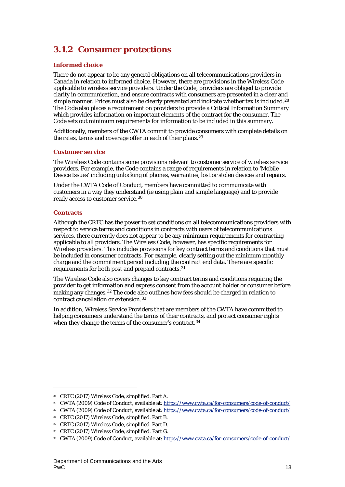# **3.1.2 Consumer protections**

## **Informed choice**

There do not appear to be any general obligations on all telecommunications providers in Canada in relation to informed choice. However, there are provisions in the Wireless Code applicable to wireless service providers. Under the Code, providers are obliged to provide clarity in communication, and ensure contracts with consumers are presented in a clear and simple manner. Prices must also be clearly presented and indicate whether tax is included.<sup>[28](#page-13-0)</sup> The Code also places a requirement on providers to provide a Critical Information Summary which provides information on important elements of the contract for the consumer. The Code sets out minimum requirements for information to be included in this summary.

Additionally, members of the CWTA commit to provide consumers with complete details on the rates, terms and coverage offer in each of their plans.<sup>[29](#page-13-1)</sup>

## **Customer service**

The Wireless Code contains some provisions relevant to customer service of wireless service providers. For example, the Code contains a range of requirements in relation to 'Mobile Device Issues' including unlocking of phones, warranties, lost or stolen devices and repairs.

Under the CWTA Code of Conduct, members have committed to communicate with customers in a way they understand (ie using plain and simple language) and to provide ready access to customer service.[30](#page-13-2)

## **Contracts**

1

Although the CRTC has the power to set conditions on all telecommunications providers with respect to service terms and conditions in contracts with users of telecommunications services, there currently does not appear to be any minimum requirements for contracting applicable to all providers. The Wireless Code, however, has specific requirements for Wireless providers. This includes provisions for key contract terms and conditions that must be included in consumer contracts. For example, clearly setting out the minimum monthly charge and the commitment period including the contract end data. There are specific requirements for both post and prepaid contracts.[31](#page-13-3)

The Wireless Code also covers changes to key contract terms and conditions requiring the provider to get information and express consent from the account holder or consumer before making any changes.[32](#page-13-4) The code also outlines how fees should be charged in relation to contract cancellation or extension.[33](#page-13-5)

In addition, Wireless Service Providers that are members of the CWTA have committed to helping consumers understand the terms of their contracts, and protect consumer rights when they change the terms of the consumer's contract.<sup>[34](#page-13-6)</sup>

<span id="page-13-0"></span><sup>28</sup> CRTC (2017) Wireless Code, simplified. Part A.

<span id="page-13-1"></span><sup>29</sup> CWTA (2009) Code of Conduct, available at[: https://www.cwta.ca/for-consumers/code-of-conduct/](https://www.cwta.ca/for-consumers/code-of-conduct/)

<span id="page-13-2"></span><sup>30</sup> CWTA (2009) Code of Conduct, available at[: https://www.cwta.ca/for-consumers/code-of-conduct/](https://www.cwta.ca/for-consumers/code-of-conduct/)

<span id="page-13-3"></span><sup>31</sup> CRTC (2017) Wireless Code, simplified. Part B.

<span id="page-13-4"></span><sup>32</sup> CRTC (2017) Wireless Code, simplified. Part D.

<span id="page-13-5"></span><sup>33</sup> CRTC (2017) Wireless Code, simplified. Part G.

<span id="page-13-6"></span><sup>34</sup> CWTA (2009) Code of Conduct, available at[: https://www.cwta.ca/for-consumers/code-of-conduct/](https://www.cwta.ca/for-consumers/code-of-conduct/)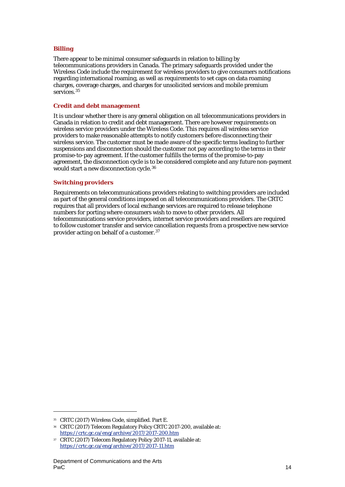## **Billing**

There appear to be minimal consumer safeguards in relation to billing by telecommunications providers in Canada. The primary safeguards provided under the Wireless Code include the requirement for wireless providers to give consumers notifications regarding international roaming, as well as requirements to set caps on data roaming charges, coverage charges, and charges for unsolicited services and mobile premium services.<sup>[35](#page-14-0)</sup>

#### **Credit and debt management**

It is unclear whether there is any general obligation on all telecommunications providers in Canada in relation to credit and debt management. There are however requirements on wireless service providers under the Wireless Code. This requires all wireless service providers to make reasonable attempts to notify customers before disconnecting their wireless service. The customer must be made aware of the specific terms leading to further suspensions and disconnection should the customer not pay according to the terms in their promise-to-pay agreement. If the customer fulfills the terms of the promise-to-pay agreement, the disconnection cycle is to be considered complete and any future non-payment would start a new disconnection cycle.[36](#page-14-1)

## **Switching providers**

Requirements on telecommunications providers relating to switching providers are included as part of the general conditions imposed on all telecommunications providers. The CRTC requires that all providers of local exchange services are required to release telephone numbers for porting where consumers wish to move to other providers. All telecommunications service providers, internet service providers and resellers are required to follow customer transfer and service cancellation requests from a prospective new service provider acting on behalf of a customer.[37](#page-14-2)

1

<span id="page-14-0"></span><sup>35</sup> CRTC (2017) Wireless Code, simplified. Part E.

<span id="page-14-1"></span><sup>36</sup> CRTC (2017) Telecom Regulatory Policy CRTC 2017-200, available at: <https://crtc.gc.ca/eng/archive/2017/2017-200.htm>

<span id="page-14-2"></span><sup>37</sup> CRTC (2017) Telecom Regulatory Policy 2017-11, available at: <https://crtc.gc.ca/eng/archive/2017/2017-11.htm>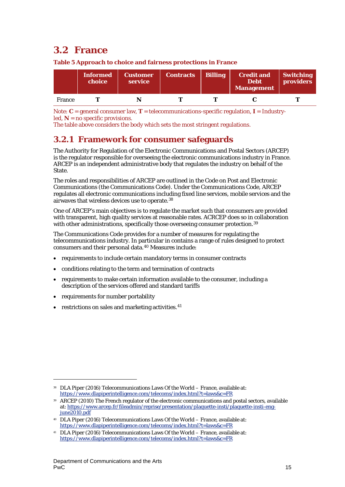# <span id="page-15-0"></span>**3.2 France**

|        | /Informed<br>choice | <i>Customer</i><br>service | <b>Contracts</b> | <b>Billing</b> | <b>Credit and</b><br><b>Debt</b><br><b>Management</b> | <b>Switching</b><br><b>providers</b> |
|--------|---------------------|----------------------------|------------------|----------------|-------------------------------------------------------|--------------------------------------|
| France |                     |                            |                  |                |                                                       |                                      |

**Table 5 Approach to choice and fairness protections in France**

Note: **C** = general consumer law, **T** = telecommunications-specific regulation, **I** = Industryled,  $N = no$  specific provisions.

The table above considers the body which sets the most stringent regulations.

# **3.2.1 Framework for consumer safeguards**

The Authority for Regulation of the Electronic Communications and Postal Sectors (ARCEP) is the regulator responsible for overseeing the electronic communications industry in France. ARCEP is an independent administrative body that regulates the industry on behalf of the State.

The roles and responsibilities of ARCEP are outlined in the Code on Post and Electronic Communications (the Communications Code). Under the Communications Code, ARCEP regulates all electronic communications including fixed line services, mobile services and the airwaves that wireless devices use to operate.[38](#page-15-1)

One of ARCEP's main objectives is to regulate the market such that consumers are provided with transparent, high quality services at reasonable rates. ACRCEP does so in collaboration with other administrations, specifically those overseeing consumer protection.<sup>[39](#page-15-2)</sup>

The Communications Code provides for a number of measures for regulating the telecommunications industry. In particular in contains a range of rules designed to protect consumers and their personal data.[40](#page-15-3) Measures include:

- requirements to include certain mandatory terms in consumer contracts
- conditions relating to the term and termination of contracts
- requirements to make certain information available to the consumer, including a description of the services offered and standard tariffs
- requirements for number portability

 $\overline{a}$ 

• restrictions on sales and marketing activities. $41$ 

<span id="page-15-1"></span><sup>38</sup> DLA Piper (2016) Telecommunications Laws Of the World – France, available at: https://www.dlapiperintelligence.com/telecoms/index.html?t=laws&c=FR

<span id="page-15-2"></span><sup>39</sup> ARCEP (2010) The French regulator of the electronic communications and postal sectors, available at: https://www.arcep.fr/fileadmin/reprise/presentation/plaquette-insti/plaquette-insti-engjune2010.pdf

<span id="page-15-3"></span><sup>40</sup> DLA Piper (2016) Telecommunications Laws Of the World – France, available at: https://www.dlapiperintelligence.com/telecoms/index.html?t=laws&c=FR

<span id="page-15-4"></span><sup>41</sup> DLA Piper (2016) Telecommunications Laws Of the World – France, available at: https://www.dlapiperintelligence.com/telecoms/index.html?t=laws&c=FR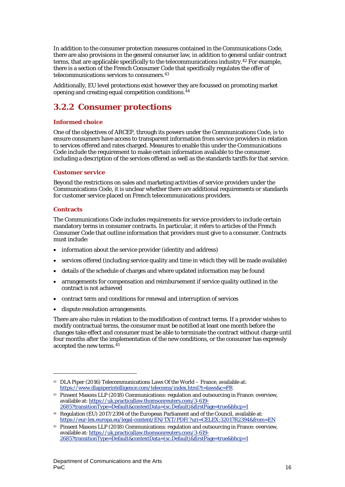In addition to the consumer protection measures contained in the Communications Code, there are also provisions in the general consumer law, in addition to general unfair contract terms, that are applicable specifically to the telecommunications industry.[42](#page-16-0) For example, there is a section of the French Consumer Code that specifically regulates the offer of telecommunications services to consumers.[43](#page-16-1)

Additionally, EU level protections exist however they are focussed on promoting market opening and creating equal competition conditions.[44](#page-16-2)

# **3.2.2 Consumer protections**

## **Informed choice**

One of the objectives of ARCEP, through its powers under the Communications Code, is to ensure consumers have access to transparent information from service providers in relation to services offered and rates charged. Measures to enable this under the Communications Code include the requirement to make certain information available to the consumer, including a description of the services offered as well as the standards tariffs for that service.

## **Customer service**

Beyond the restrictions on sales and marketing activities of service providers under the Communications Code, it is unclear whether there are additional requirements or standards for customer service placed on French telecommunications providers.

## **Contracts**

1

The Communications Code includes requirements for service providers to include certain mandatory terms in consumer contracts. In particular, it refers to articles of the French Consumer Code that outline information that providers must give to a consumer. Contracts must include:

- information about the service provider (identity and address)
- services offered (including service quality and time in which they will be made available)
- details of the schedule of charges and where updated information may be found
- arrangements for compensation and reimbursement if service quality outlined in the contract is not achieved
- contract term and conditions for renewal and interruption of services
- dispute resolution arrangements.

There are also rules in relation to the modification of contract terms. If a provider wishes to modify contractual terms, the consumer must be notified at least one month before the changes take effect and consumer must be able to terminate the contract without charge until four months after the implementation of the new conditions, or the consumer has expressly accepted the new terms.[45](#page-16-3)

<span id="page-16-0"></span><sup>42</sup> DLA Piper (2016) Telecommunications Laws Of the World – France, available at: https://www.dlapiperintelligence.com/telecoms/index.html?t=laws&c=FR

<span id="page-16-1"></span><sup>43</sup> Pinsent Masons LLP (2018) Communications: regulation and outsourcing in France: overview, available at[: https://uk.practicallaw.thomsonreuters.com/3-619-](https://uk.practicallaw.thomsonreuters.com/3-619-%202685?transitionType=Default&contextData=(sc.Default)&firstPage=true&bhcp=1)

[<sup>2685?</sup>transitionType=Default&contextData=\(sc.Default\)&firstPage=true&bhcp=1](https://uk.practicallaw.thomsonreuters.com/3-619-%202685?transitionType=Default&contextData=(sc.Default)&firstPage=true&bhcp=1) <sup>44</sup> Regulation (EU) 2017/2394 of the European Parliament and of the Council, available at:

<span id="page-16-3"></span><span id="page-16-2"></span><https://eur-lex.europa.eu/legal-content/EN/TXT/PDF/?uri=CELEX:32017R2394&from=EN> <sup>45</sup> Pinsent Masons LLP (2018) Communications: regulation and outsourcing in France: overview,

available at[: https://uk.practicallaw.thomsonreuters.com/3-619-](https://uk.practicallaw.thomsonreuters.com/3-619-2685?transitionType=Default&contextData=(sc.Default)&firstPage=true&bhcp=1) [2685?transitionType=Default&contextData=\(sc.Default\)&firstPage=true&bhcp=1](https://uk.practicallaw.thomsonreuters.com/3-619-2685?transitionType=Default&contextData=(sc.Default)&firstPage=true&bhcp=1)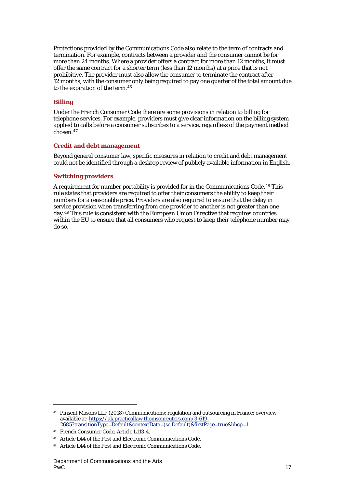Protections provided by the Communications Code also relate to the term of contracts and termination. For example, contracts between a provider and the consumer cannot be for more than 24 months. Where a provider offers a contract for more than 12 months, it must offer the same contract for a shorter term (less than 12 months) at a price that is not prohibitive. The provider must also allow the consumer to terminate the contract after 12 months, with the consumer only being required to pay one quarter of the total amount due to the expiration of the term.[46](#page-17-0)

### **Billing**

Under the French Consumer Code there are some provisions in relation to billing for telephone services. For example, providers must give clear information on the billing system applied to calls before a consumer subscribes to a service, regardless of the payment method chosen.[47](#page-17-1)

#### **Credit and debt management**

Beyond general consumer law, specific measures in relation to credit and debt management could not be identified through a desktop review of publicly available information in English.

#### **Switching providers**

A requirement for number portability is provided for in the Communications Code.[48](#page-17-2) This rule states that providers are required to offer their consumers the ability to keep their numbers for a reasonable price. Providers are also required to ensure that the delay in service provision when transferring from one provider to another is not greater than one day.[49](#page-17-3) This rule is consistent with the European Union Directive that requires countries within the EU to ensure that all consumers who request to keep their telephone number may do so.

<span id="page-17-0"></span><sup>46</sup> Pinsent Masons LLP (2018) Communications: regulation and outsourcing in France: overview, available at[: https://uk.practicallaw.thomsonreuters.com/3-619-](https://uk.practicallaw.thomsonreuters.com/3-619-2685?transitionType=Default&contextData=(sc.Default)&firstPage=true&bhcp=1) [2685?transitionType=Default&contextData=\(sc.Default\)&firstPage=true&bhcp=1](https://uk.practicallaw.thomsonreuters.com/3-619-2685?transitionType=Default&contextData=(sc.Default)&firstPage=true&bhcp=1)

<span id="page-17-1"></span><sup>47</sup> French Consumer Code, Article L113-4.

Article L44 of the Post and Electronic Communications Code.

<span id="page-17-3"></span><span id="page-17-2"></span><sup>49</sup> Article L44 of the Post and Electronic Communications Code.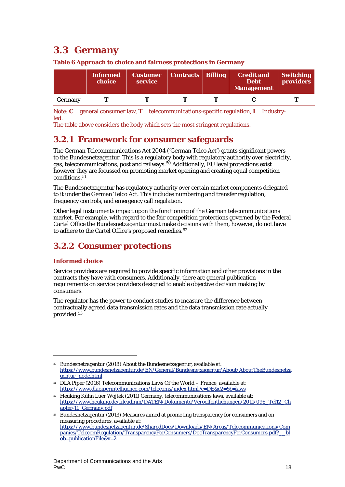# <span id="page-18-0"></span>**3.3 Germany**

|         | <b>Informed</b><br>choice | <b>Customer</b><br>service | Contracts   Billing \ | <b>Credit and</b><br><b>Debt</b><br><b>Management</b> | <b>Switching</b><br><b>providers</b> |
|---------|---------------------------|----------------------------|-----------------------|-------------------------------------------------------|--------------------------------------|
| Germany |                           |                            |                       |                                                       |                                      |

**Table 6 Approach to choice and fairness protections in Germany**

Note: **C** = general consumer law, **T** = telecommunications-specific regulation, **I** = Industryled.

The table above considers the body which sets the most stringent regulations.

# **3.2.1 Framework for consumer safeguards**

The German *Telecommunications Act 2004* ('German Telco Act') grants significant powers to the Bundesnetzagentur. This is a regulatory body with regulatory authority over electricity, gas, telecommunications, post and railways.[50](#page-18-1) Additionally, EU level protections exist however they are focussed on promoting market opening and creating equal competition conditions.<sup>[51](#page-18-2)</sup>

The Bundesnetzagentur has regulatory authority over certain market components delegated to it under the German Telco Act. This includes numbering and transfer regulation, frequency controls, and emergency call regulation.

Other legal instruments impact upon the functioning of the German telecommunications market. For example, with regard to the fair competition protections governed by the Federal Cartel Office the Bundesnetzagentur must make decisions with them, however, do not have to adhere to the Cartel Office's proposed remedies.<sup>[52](#page-18-3)</sup>

# **3.2.2 Consumer protections**

## **Informed choice**

1

Service providers are required to provide specific information and other provisions in the contracts they have with consumers. Additionally, there are general publication requirements on service providers designed to enable objective decision making by consumers.

The regulator has the power to conduct studies to measure the difference between contractually agreed data transmission rates and the data transmission rate actually provided.[53](#page-18-4)

<span id="page-18-1"></span><sup>50</sup> Bundesnetzagentur (2018) About the Bundesnetzagentur, available at: [https://www.bundesnetzagentur.de/EN/General/Bundesnetzagentur/About/AboutTheBundesnetza](https://www.bundesnetzagentur.de/EN/General/Bundesnetzagentur/About/AboutTheBundesnetzagentur_node.html) [gentur\\_node.html](https://www.bundesnetzagentur.de/EN/General/Bundesnetzagentur/About/AboutTheBundesnetzagentur_node.html)

<span id="page-18-2"></span><sup>51</sup> DLA Piper (2016) Telecommunications Laws Of the World – France, available at: <https://www.dlapiperintelligence.com/telecoms/index.html?c=DE&c2=&t=laws>

<span id="page-18-3"></span><sup>52</sup> Heuking Kühn Lüer Wojtek (2011) Germany, telecommunications laws, available at: [https://www.heuking.de/fileadmin/DATEN/Dokumente/Veroeffentlichungen/2011/096\\_Tel12\\_Ch](https://www.heuking.de/fileadmin/DATEN/Dokumente/Veroeffentlichungen/2011/096_Tel12_Chapter-11_Germany.pdf) [apter-11\\_Germany.pdf](https://www.heuking.de/fileadmin/DATEN/Dokumente/Veroeffentlichungen/2011/096_Tel12_Chapter-11_Germany.pdf)

<span id="page-18-4"></span><sup>53</sup> Bundesnetzagentur (2013) Measures aimed at promoting transparency for consumers and on measuring procedures, available at: [https://www.bundesnetzagentur.de/SharedDocs/Downloads/EN/Areas/Telecommunications/Com](https://www.bundesnetzagentur.de/SharedDocs/Downloads/EN/Areas/Telecommunications/Companies/TelecomRegulation/TransparencyForConsumers/DocTransparencyForConsumers.pdf?__blob=publicationFile&v=2) [panies/TelecomRegulation/TransparencyForConsumers/DocTransparencyForConsumers.pdf?\\_\\_bl](https://www.bundesnetzagentur.de/SharedDocs/Downloads/EN/Areas/Telecommunications/Companies/TelecomRegulation/TransparencyForConsumers/DocTransparencyForConsumers.pdf?__blob=publicationFile&v=2) [ob=publicationFile&v=2](https://www.bundesnetzagentur.de/SharedDocs/Downloads/EN/Areas/Telecommunications/Companies/TelecomRegulation/TransparencyForConsumers/DocTransparencyForConsumers.pdf?__blob=publicationFile&v=2)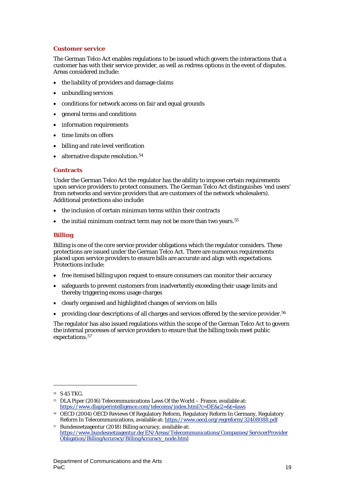## **Customer service**

The German Telco Act enables regulations to be issued which govern the interactions that a customer has with their service provider, as well as redress options in the event of disputes. Areas considered include:

- the liability of providers and damage claims
- unbundling services
- conditions for network access on fair and equal grounds
- general terms and conditions
- information requirements
- time limits on offers
- billing and rate level verification
- alternative dispute resolution.<sup>[54](#page-19-0)</sup>

#### **Contracts**

Under the German Telco Act the regulator has the ability to impose certain requirements upon service providers to protect consumers. The German Telco Act distinguishes 'end users' from networks and service providers that are customers of the network wholesalers). Additional protections also include:

- the inclusion of certain minimum terms within their contracts
- $\bullet$  the initial minimum contract term may not be more than two years.<sup>[55](#page-19-1)</sup>

## **Billing**

Billing is one of the core service provider obligations which the regulator considers. These protections are issued under the German Telco Act. There are numerous requirements placed upon service providers to ensure bills are accurate and align with expectations. Protections include:

- free itemised billing upon request to ensure consumers can monitor their accuracy
- safeguards to prevent customers from inadvertently exceeding their usage limits and thereby triggering excess usage charges
- clearly organised and highlighted changes of services on bills
- providing clear descriptions of all charges and services offered by the service provider.<sup>[56](#page-19-2)</sup>

The regulator has also issued regulations within the scope of the German Telco Act to govern the internal processes of service providers to ensure that the billing tools meet public expectations.[57](#page-19-3)

<span id="page-19-0"></span><sup>54</sup> S 45 TKG.

<span id="page-19-1"></span><sup>55</sup> DLA Piper (2016) Telecommunications Laws Of the World – France, available at: <https://www.dlapiperintelligence.com/telecoms/index.html?c=DE&c2=&t=laws>

<span id="page-19-2"></span><sup>56</sup> OECD (2004) OECD Reviews Of Regulatory Reform, Regulatory Reform In Germany, Regulatory Reform In Telecommunications, available at[: https://www.oecd.org/regreform/32408088.pdf](https://www.oecd.org/regreform/32408088.pdf)

<span id="page-19-3"></span><sup>57</sup> Bundesnetzagentur (2018) Billing accuracy, available at: [https://www.bundesnetzagentur.de/EN/Areas/Telecommunications/Companies/ServicerProvider](https://www.bundesnetzagentur.de/EN/Areas/Telecommunications/Companies/ServicerProviderObligation/BillingAccuracy/BillingAccuracy_node.html) [Obligation/BillingAccuracy/BillingAccuracy\\_node.html](https://www.bundesnetzagentur.de/EN/Areas/Telecommunications/Companies/ServicerProviderObligation/BillingAccuracy/BillingAccuracy_node.html)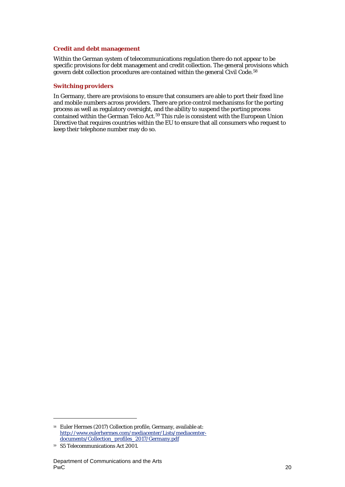### **Credit and debt management**

Within the German system of telecommunications regulation there do not appear to be specific provisions for debt management and credit collection. The general provisions which govern debt collection procedures are contained within the general Civil Code.<sup>[58](#page-20-0)</sup>

## **Switching providers**

In Germany, there are provisions to ensure that consumers are able to port their fixed line and mobile numbers across providers. There are price control mechanisms for the porting process as well as regulatory oversight, and the ability to suspend the porting process contained within the German Telco Act.<sup>[59](#page-20-1)</sup> This rule is consistent with the European Union Directive that requires countries within the EU to ensure that all consumers who request to keep their telephone number may do so.

<span id="page-20-0"></span><sup>58</sup> Euler Hermes (2017) Collection profile, Germany, available at: [http://www.eulerhermes.com/mediacenter/Lists/mediacenter](http://www.eulerhermes.com/mediacenter/Lists/mediacenter-documents/Collection_profiles_2017/Germany.pdf)[documents/Collection\\_profiles\\_2017/Germany.pdf](http://www.eulerhermes.com/mediacenter/Lists/mediacenter-documents/Collection_profiles_2017/Germany.pdf)

<span id="page-20-1"></span><sup>59</sup> S5 Telecommunications Act 2001.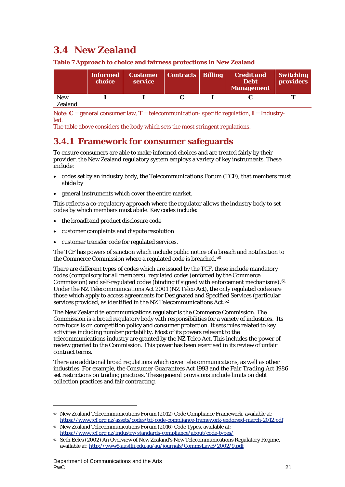# <span id="page-21-0"></span>**3.4 New Zealand**

|                | Informed<br>choice | Customer   Contracts   Billing<br>service |  | <b>Credit and</b><br><b>Debt</b><br>Management | <b>Switching</b><br><b>providers</b> |
|----------------|--------------------|-------------------------------------------|--|------------------------------------------------|--------------------------------------|
| <b>New</b>     |                    |                                           |  |                                                |                                      |
| <b>Zealand</b> |                    |                                           |  |                                                |                                      |

**Table 7 Approach to choice and fairness protections in New Zealand**

Note: **C** = general consumer law, **T** = telecommunication- specific regulation, **I** = Industryled.

The table above considers the body which sets the most stringent regulations.

# **3.4.1 Framework for consumer safeguards**

To ensure consumers are able to make informed choices and are treated fairly by their provider, the New Zealand regulatory system employs a variety of key instruments. These include:

- codes set by an industry body, the Telecommunications Forum (TCF), that members must abide by
- general instruments which cover the entire market.

This reflects a co-regulatory approach where the regulator allows the industry body to set codes by which members must abide. Key codes include:

- the broadband product disclosure code
- customer complaints and dispute resolution
- customer transfer code for regulated services.

The TCF has powers of sanction which include public notice of a breach and notification to the Commerce Commission where a regulated code is breached.<sup>[60](#page-21-1)</sup>

There are different types of codes which are issued by the TCF, these include mandatory codes (compulsory for all members), regulated codes (enforced by the Commerce Commission) and self-regulated codes (binding if signed with enforcement mechanisms).<sup>[61](#page-21-2)</sup> Under the NZ *Telecommunications Act 2001* (NZ Telco Act), the only regulated codes are those which apply to access agreements for Designated and Specified Services (particular services provided, as identified in the NZ Telecommunications Act.<sup>[62](#page-21-3)</sup>

The New Zealand telecommunications regulator is the Commerce Commission. The Commission is a broad regulatory body with responsibilities for a variety of industries. Its core focus is on competition policy and consumer protection. It sets rules related to key activities including number portability. Most of its powers relevant to the telecommunications industry are granted by the NZ Telco Act. This includes the power of review granted to the Commission. This power has been exercised in its review of unfair contract terms.

There are additional broad regulations which cover telecommunications, as well as other industries. For example, the *Consumer Guarantees Act 1993* and the *Fair Trading Act 1986* set restrictions on trading practices. These general provisions include limits on debt collection practices and fair contracting.

<span id="page-21-1"></span><sup>&</sup>lt;sup>60</sup> New Zealand Telecommunications Forum (2012) Code Compliance Framework, available at: <https://www.tcf.org.nz/assets/codes/tcf-code-compliance-framework-endorsed-march-2012.pdf>

<span id="page-21-2"></span><sup>&</sup>lt;sup>61</sup> New Zealand Telecommunications Forum (2016) Code Types, available at: <https://www.tcf.org.nz/industry/standards-compliance/about/code-types/>

<span id="page-21-3"></span><sup>&</sup>lt;sup>62</sup> Seth Eeles (2002) An Overview of New Zealand's New Telecommunications Regulatory Regime, available at[: http://www5.austlii.edu.au/au/journals/CommsLawB/2002/9.pdf](http://www5.austlii.edu.au/au/journals/CommsLawB/2002/9.pdf)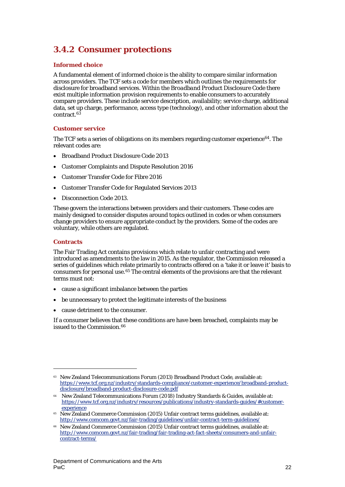# **3.4.2 Consumer protections**

## **Informed choice**

A fundamental element of informed choice is the ability to compare similar information across providers. The TCF sets a code for members which outlines the requirements for disclosure for broadband services. Within the *Broadband Product Disclosure Code* there exist multiple information provision requirements to enable consumers to accurately compare providers. These include service description, availability; service charge, additional data, set up charge, performance, access type (technology), and other information about the contract.[63](#page-22-0)

## **Customer service**

The TCF sets a series of obligations on its members regarding customer experience[64.](#page-22-1) The relevant codes are:

- Broadband Product Disclosure Code 2013
- Customer Complaints and Dispute Resolution 2016
- Customer Transfer Code for Fibre 2016
- Customer Transfer Code for Regulated Services 2013
- Disconnection Code 2013.

These govern the interactions between providers and their customers. These codes are mainly designed to consider disputes around topics outlined in codes or when consumers change providers to ensure appropriate conduct by the providers. Some of the codes are voluntary, while others are regulated.

## **Contracts**

 $\overline{a}$ 

The Fair Trading Act contains provisions which relate to unfair contracting and were introduced as amendments to the law in 2015. As the regulator, the Commission released a series of guidelines which relate primarily to contracts offered on a 'take it or leave it' basis to consumers for personal use.[65](#page-22-2) The central elements of the provisions are that the relevant terms must not:

- cause a significant imbalance between the parties
- be unnecessary to protect the legitimate interests of the business
- cause detriment to the consumer.

If a consumer believes that these conditions are have been breached, complaints may be issued to the Commission.<sup>[66](#page-22-3)</sup>

<span id="page-22-0"></span><sup>63</sup> New Zealand Telecommunications Forum (2013) Broadband Product Code, available at: [https://www.tcf.org.nz/industry/standards-compliance/customer-experience/broadband-product](https://www.tcf.org.nz/industry/standards-compliance/customer-experience/broadband-product-disclosure/broadband-product-disclosure-code.pdf)[disclosure/broadband-product-disclosure-code.pdf](https://www.tcf.org.nz/industry/standards-compliance/customer-experience/broadband-product-disclosure/broadband-product-disclosure-code.pdf)

<span id="page-22-1"></span><sup>64</sup> New Zealand Telecommunications Forum (2018) Industry Standards & Guides, available at: [https://www.tcf.org.nz/industry/resources/publications/industry-standards-guides/#customer](https://www.tcf.org.nz/industry/resources/publications/industry-standards-guides/#customer-experience)[experience](https://www.tcf.org.nz/industry/resources/publications/industry-standards-guides/#customer-experience)

<span id="page-22-2"></span><sup>&</sup>lt;sup>65</sup> New Zealand Commerce Commission (2015) Unfair contract terms guidelines, available at: <http://www.comcom.govt.nz/fair-trading/guidelines/unfair-contract-term-guidelines/>

<span id="page-22-3"></span><sup>66</sup> New Zealand Commerce Commission (2015) Unfair contract terms guidelines, available at: [http://www.comcom.govt.nz/fair-trading/fair-trading-act-fact-sheets/consumers-and-unfair](http://www.comcom.govt.nz/fair-trading/fair-trading-act-fact-sheets/consumers-and-unfair-contract-terms/)[contract-terms/](http://www.comcom.govt.nz/fair-trading/fair-trading-act-fact-sheets/consumers-and-unfair-contract-terms/)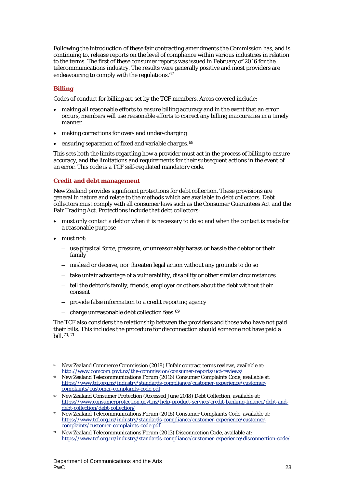Following the introduction of these fair contracting amendments the Commission has, and is continuing to, release reports on the level of compliance within various industries in relation to the terms. The first of these consumer reports was issued in February of 2016 for the telecommunications industry. The results were generally positive and most providers are endeavouring to comply with the regulations.<sup>[67](#page-23-0)</sup>

## **Billing**

Codes of conduct for billing are set by the TCF members. Areas covered include:

- making all reasonable efforts to ensure billing accuracy and in the event that an error occurs, members will use reasonable efforts to correct any billing inaccuracies in a timely manner
- making corrections for over- and under-charging
- ensuring separation of fixed and variable charges.<sup>[68](#page-23-1)</sup>

This sets both the limits regarding how a provider must act in the process of billing to ensure accuracy, and the limitations and requirements for their subsequent actions in the event of an error. This code is a TCF self-regulated mandatory code.

## **Credit and debt management**

New Zealand provides significant protections for debt collection. These provisions are general in nature and relate to the methods which are available to debt collectors. Debt collectors must comply with all consumer laws such as the Consumer Guarantees Act and the Fair Trading Act. Protections include that debt collectors:

- must only contact a debtor when it is necessary to do so and when the contact is made for a reasonable purpose
- must not:

 $\overline{a}$ 

- use physical force, pressure, or unreasonably harass or hassle the debtor or their family
- mislead or deceive, nor threaten legal action without any grounds to do so
- take unfair advantage of a vulnerability, disability or other similar circumstances
- tell the debtor's family, friends, employer or others about the debt without their consent
- provide false information to a credit reporting agency
- $-$  charge unreasonable debt collection fees.  $69$

The TCF also considers the relationship between the providers and those who have not paid their bills. This includes the procedure for disconnection should someone not have paid a bill.[70](#page-23-3), [71](#page-23-4)

<span id="page-23-0"></span><sup>67</sup> New Zealand Commerce Commission (2018) Unfair contract terms reviews, available at: <http://www.comcom.govt.nz/the-commission/consumer-reports/uct-reviews/>

<span id="page-23-1"></span><sup>&</sup>lt;sup>68</sup> New Zealand Telecommunications Forum (2016) Consumer Complaints Code, available at: [https://www.tcf.org.nz/industry/standards-compliance/customer-experience/customer](https://www.tcf.org.nz/industry/standards-compliance/customer-experience/customer-complaints/customer-complaints-code.pdf)[complaints/customer-complaints-code.pdf](https://www.tcf.org.nz/industry/standards-compliance/customer-experience/customer-complaints/customer-complaints-code.pdf)

<span id="page-23-2"></span><sup>69</sup> New Zealand Consumer Protection (Accessed June 2018) Debt Collection, available at: [https://www.consumerprotection.govt.nz/help-product-service/credit-banking-finance/debt-and-](https://www.consumerprotection.govt.nz/help-product-service/credit-banking-finance/debt-and-debt-collection/debt-collection/)

<span id="page-23-3"></span> $\overline{D}$  New Zealand Telecommunications Forum (2016) Consumer Complaints Code, available at: [https://www.tcf.org.nz/industry/standards-compliance/customer-experience/customer](https://www.tcf.org.nz/industry/standards-compliance/customer-experience/customer-complaints/customer-complaints-code.pdf)[complaints/customer-complaints-code.pdf](https://www.tcf.org.nz/industry/standards-compliance/customer-experience/customer-complaints/customer-complaints-code.pdf)

<span id="page-23-4"></span> $71$  New Zealand Telecommunications Forum (2013) Disconnection Code, available at: <https://www.tcf.org.nz/industry/standards-compliance/customer-experience/disconnection-code/>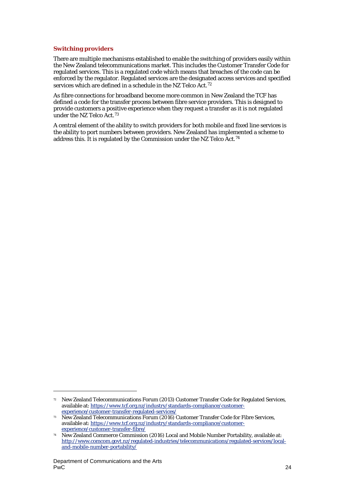## **Switching providers**

There are multiple mechanisms established to enable the switching of providers easily within the New Zealand telecommunications market. This includes the Customer Transfer Code for regulated services. This is a regulated code which means that breaches of the code can be enforced by the regulator. Regulated services are the designated access services and specified services which are defined in a schedule in the NZ Telco Act.[72](#page-24-0)

As fibre connections for broadband become more common in New Zealand the TCF has defined a code for the transfer process between fibre service providers. This is designed to provide customers a positive experience when they request a transfer as it is not regulated under the NZ Telco Act.[73](#page-24-1)

A central element of the ability to switch providers for both mobile and fixed line services is the ability to port numbers between providers. New Zealand has implemented a scheme to address this. It is regulated by the Commission under the NZ Telco Act*.[74](#page-24-2)*

1

<span id="page-24-0"></span><sup>72</sup> New Zealand Telecommunications Forum (2013) Customer Transfer Code for Regulated Services, available at[: https://www.tcf.org.nz/industry/standards-compliance/customer](https://www.tcf.org.nz/industry/standards-compliance/customer-experience/customer-transfer-regulated-services/)[experience/customer-transfer-regulated-services/](https://www.tcf.org.nz/industry/standards-compliance/customer-experience/customer-transfer-regulated-services/)

<span id="page-24-1"></span><sup>73</sup> New Zealand Telecommunications Forum (2016) Customer Transfer Code for Fibre Services, available at[: https://www.tcf.org.nz/industry/standards-compliance/customer](https://www.tcf.org.nz/industry/standards-compliance/customer-experience/customer-transfer-fibre/)[experience/customer-transfer-fibre/](https://www.tcf.org.nz/industry/standards-compliance/customer-experience/customer-transfer-fibre/)

<span id="page-24-2"></span><sup>74</sup> New Zealand Commerce Commission (2016) Local and Mobile Number Portability, available at: [http://www.comcom.govt.nz/regulated-industries/telecommunications/regulated-services/local](http://www.comcom.govt.nz/regulated-industries/telecommunications/regulated-services/local-and-mobile-number-portability/)[and-mobile-number-portability/](http://www.comcom.govt.nz/regulated-industries/telecommunications/regulated-services/local-and-mobile-number-portability/)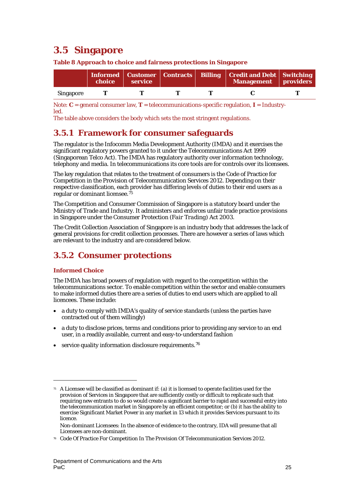# <span id="page-25-0"></span>**3.5 Singapore**

**Table 8 Approach to choice and fairness protections in Singapore**

|                  | <b>choice</b> | service |  | Informed   Customer   Contracts   Billing   Credit and Debt   Switching<br>Management providers |  |
|------------------|---------------|---------|--|-------------------------------------------------------------------------------------------------|--|
| <b>Singapore</b> |               |         |  |                                                                                                 |  |

Note: **C** = general consumer law, **T** = telecommunications-specific regulation, **I** = Industryled.

The table above considers the body which sets the most stringent regulations.

# **3.5.1 Framework for consumer safeguards**

The regulator is the Infocomm Media Development Authority (IMDA) and it exercises the significant regulatory powers granted to it under the *Telecommunications Act 1999* (Singaporean Telco Act). The IMDA has regulatory authority over information technology, telephony and media. In telecommunications its core tools are for controls over its licensees.

The key regulation that relates to the treatment of consumers is the Code of Practice for Competition in the Provision of Telecommunication Services 2012. Depending on their respective classification, each provider has differing levels of duties to their end users as a regular or dominant licensee.<sup>[75](#page-25-1)</sup>

The Competition and Consumer Commission of Singapore is a statutory board under the Ministry of Trade and Industry. It administers and enforces unfair trade practice provisions in Singapore under the *Consumer Protection (Fair Trading) Act 2003*.

The Credit Collection Association of Singapore is an industry body that addresses the lack of general provisions for credit collection processes. There are however a series of laws which are relevant to the industry and are considered below.

# **3.5.2 Consumer protections**

## **Informed Choice**

 $\overline{a}$ 

The IMDA has broad powers of regulation with regard to the competition within the telecommunications sector. To enable competition within the sector and enable consumers to make informed duties there are a series of duties to end users which are applied to all licencees. These include:

- a duty to comply with IMDA's quality of service standards (unless the parties have contracted out of them willingly)
- a duty to disclose prices, terms and conditions prior to providing any service to an end user, in a readily available, current and easy-to-understand fashion
- service quality information disclosure requirements.<sup>[76](#page-25-2)</sup>

<span id="page-25-1"></span><sup>75</sup> A Licensee will be classified as dominant if: (a) it is licensed to operate facilities used for the provision of Services in Singapore that are sufficiently costly or difficult to replicate such that requiring new entrants to do so would create a significant barrier to rapid and successful entry into the telecommunication market in Singapore by an efficient competitor; or (b) it has the ability to exercise Significant Market Power in any market in 13 which it provides Services pursuant to its licence.

Non-dominant Licensees: In the absence of evidence to the contrary, IDA will presume that all Licensees are non-dominant.

<span id="page-25-2"></span><sup>76</sup> Code Of Practice For Competition In The Provision Of Telecommunication Services 2012.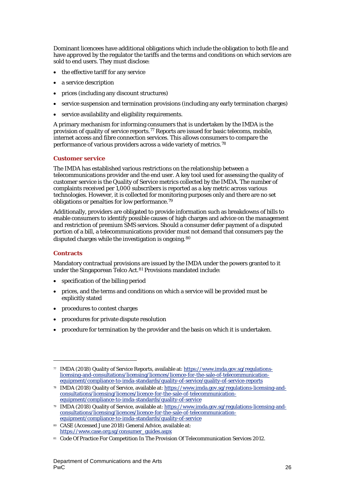Dominant licencees have additional obligations which include the obligation to both file and have approved by the regulator the tariffs and the terms and conditions on which services are sold to end users. They must disclose:

- the effective tariff for any service
- a service description
- prices (including any discount structures)
- service suspension and termination provisions (including any early termination charges)
- service availability and eligibility requirements.

A primary mechanism for informing consumers that is undertaken by the IMDA is the provision of quality of service reports.[77](#page-26-0) Reports are issued for basic telecoms, mobile, internet access and fibre connection services. This allows consumers to compare the performance of various providers across a wide variety of metrics.[78](#page-26-1)

## **Customer service**

The IMDA has established various restrictions on the relationship between a telecommunications provider and the end user. A key tool used for assessing the quality of customer service is the Quality of Service metrics collected by the IMDA. The number of complaints received per 1,000 subscribers is reported as a key metric across various technologies. However, it is collected for monitoring purposes only and there are no set obligations or penalties for low performance.[79](#page-26-2)

Additionally, providers are obligated to provide information such as breakdowns of bills to enable consumers to identify possible causes of high charges and advice on the management and restriction of premium SMS services. Should a consumer defer payment of a disputed portion of a bill, a telecommunications provider must not demand that consumers pay the disputed charges while the investigation is ongoing.<sup>[80](#page-26-3)</sup>

## **Contracts**

 $\overline{a}$ 

Mandatory contractual provisions are issued by the IMDA under the powers granted to it under the Singaporean Telco Act.<sup>81</sup> Provisions mandated include:

- specification of the billing period
- prices, and the terms and conditions on which a service will be provided must be explicitly stated
- procedures to contest charges
- procedures for private dispute resolution
- procedure for termination by the provider and the basis on which it is undertaken.

<span id="page-26-0"></span><sup>77</sup> IMDA (2018) Quality of Service Reports, available at: [https://www.imda.gov.sg/regulations](https://www.imda.gov.sg/regulations-licensing-and-consultations/licensing/licences/licence-for-the-sale-of-telecommunication-equipment/compliance-to-imda-standards/quality-of-service/quality-of-service-reports)[licensing-and-consultations/licensing/licences/licence-for-the-sale-of-telecommunication](https://www.imda.gov.sg/regulations-licensing-and-consultations/licensing/licences/licence-for-the-sale-of-telecommunication-equipment/compliance-to-imda-standards/quality-of-service/quality-of-service-reports)[equipment/compliance-to-imda-standards/quality-of-service/quality-of-service-reports](https://www.imda.gov.sg/regulations-licensing-and-consultations/licensing/licences/licence-for-the-sale-of-telecommunication-equipment/compliance-to-imda-standards/quality-of-service/quality-of-service-reports)

<span id="page-26-1"></span><sup>78</sup> IMDA (2018) Quality of Service, available at[: https://www.imda.gov.sg/regulations-licensing-and](https://www.imda.gov.sg/regulations-licensing-and-consultations/licensing/licences/licence-for-the-sale-of-telecommunication-equipment/compliance-to-imda-standards/quality-of-service)[consultations/licensing/licences/licence-for-the-sale-of-telecommunication](https://www.imda.gov.sg/regulations-licensing-and-consultations/licensing/licences/licence-for-the-sale-of-telecommunication-equipment/compliance-to-imda-standards/quality-of-service)[equipment/compliance-to-imda-standards/quality-of-service](https://www.imda.gov.sg/regulations-licensing-and-consultations/licensing/licences/licence-for-the-sale-of-telecommunication-equipment/compliance-to-imda-standards/quality-of-service)

<span id="page-26-2"></span><sup>79</sup> IMDA (2018) Quality of Service, available at[: https://www.imda.gov.sg/regulations-licensing-and](https://www.imda.gov.sg/regulations-licensing-and-consultations/licensing/licences/licence-for-the-sale-of-telecommunication-equipment/compliance-to-imda-standards/quality-of-service)[consultations/licensing/licences/licence-for-the-sale-of-telecommunication](https://www.imda.gov.sg/regulations-licensing-and-consultations/licensing/licences/licence-for-the-sale-of-telecommunication-equipment/compliance-to-imda-standards/quality-of-service)[equipment/compliance-to-imda-standards/quality-of-service](https://www.imda.gov.sg/regulations-licensing-and-consultations/licensing/licences/licence-for-the-sale-of-telecommunication-equipment/compliance-to-imda-standards/quality-of-service)

<span id="page-26-3"></span><sup>80</sup> CASE (Accessed June 2018) General Advice, available at: [https://www.case.org.sg/consumer\\_guides.aspx](https://www.case.org.sg/consumer_guides.aspx)

<span id="page-26-4"></span><sup>81</sup> Code Of Practice For Competition In The Provision Of Telecommunication Services 2012.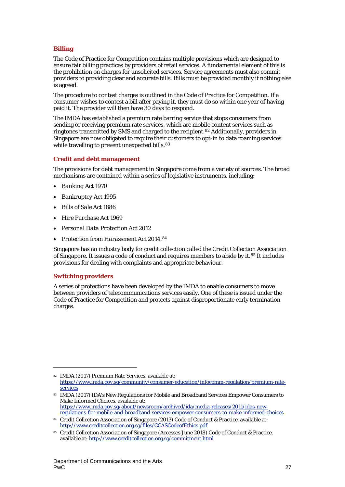## **Billing**

The Code of Practice for Competition contains multiple provisions which are designed to ensure fair billing practices by providers of retail services. A fundamental element of this is the prohibition on charges for unsolicited services. Service agreements must also commit providers to providing clear and accurate bills. Bills must be provided monthly if nothing else is agreed.

The procedure to contest charges is outlined in the Code of Practice for Competition. If a consumer wishes to contest a bill after paying it, they must do so within one year of having paid it. The provider will then have 30 days to respond.

The IMDA has established a premium rate barring service that stops consumers from sending or receiving premium rate services, which are mobile content services such as ringtones transmitted by SMS and charged to the recipient.[82](#page-27-0) Additionally, providers in Singapore are now obligated to require their customers to opt-in to data roaming services while travelling to prevent unexpected bills.<sup>[83](#page-27-1)</sup>

## **Credit and debt management**

The provisions for debt management in Singapore come from a variety of sources. The broad mechanisms are contained within a series of legislative instruments, including:

- *Banking Act 1970*
- *Bankruptcy Act 1995*
- *Bills of Sale Act 1886*
- *Hire Purchase Act 1969*
- *Personal Data Protection Act 2012*
- *Protection from Harassment Act 2014.*[84](#page-27-2)

Singapore has an industry body for credit collection called the Credit Collection Association of Singapore. It issues a code of conduct and requires members to abide by it.<sup>[85](#page-27-3)</sup> It includes provisions for dealing with complaints and appropriate behaviour.

## **Switching providers**

1

A series of protections have been developed by the IMDA to enable consumers to move between providers of telecommunications services easily. One of these is issued under the Code of Practice for Competition and protects against disproportionate early termination charges.

<span id="page-27-0"></span><sup>82</sup> IMDA (2017) Premium Rate Services, available at: [https://www.imda.gov.sg/community/consumer-education/infocomm-regulation/premium-rate](https://www.imda.gov.sg/community/consumer-education/infocomm-regulation/premium-rate-services)[services](https://www.imda.gov.sg/community/consumer-education/infocomm-regulation/premium-rate-services)

<span id="page-27-1"></span><sup>83</sup> IMDA (2017) IDA's New Regulations for Mobile and Broadband Services Empower Consumers to Make Informed Choices, available at: [https://www.imda.gov.sg/about/newsroom/archived/ida/media-releases/2011/idas-new](https://www.imda.gov.sg/about/newsroom/archived/ida/media-releases/2011/idas-new-regulations-for-mobile-and-broadband-services-empower-consumers-to-make-informed-choices)[regulations-for-mobile-and-broadband-services-empower-consumers-to-make-informed-choices](https://www.imda.gov.sg/about/newsroom/archived/ida/media-releases/2011/idas-new-regulations-for-mobile-and-broadband-services-empower-consumers-to-make-informed-choices)

<span id="page-27-2"></span><sup>84</sup> Credit Collection Association of Singapore (2013) Code of Conduct & Practice, available at: <http://www.creditcollection.org.sg/files/CCASCodeofEthics.pdf>

<span id="page-27-3"></span><sup>85</sup> Credit Collection Association of Singapore (Accesses June 2018) Code of Conduct & Practice, available at[: http://www.creditcollection.org.sg/commitment.html](http://www.creditcollection.org.sg/commitment.html)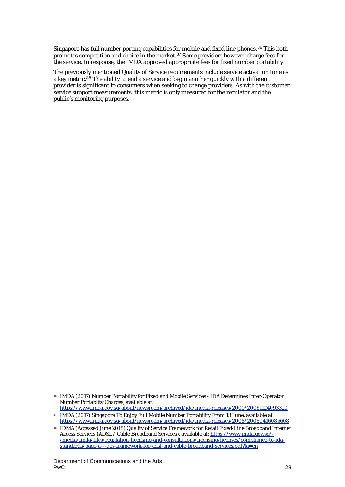Singapore has full number porting capabilities for mobile and fixed line phones.<sup>[86](#page-28-0)</sup> This both promotes competition and choice in the market.<sup>[87](#page-28-1)</sup> Some providers however charge fees for the service. In response, the IMDA approved appropriate fees for fixed number portability.

The previously mentioned Quality of Service requirements include service activation time as a key metric.<sup>[88](#page-28-2)</sup> The ability to end a service and begin another quickly with a different provider is significant to consumers when seeking to change providers. As with the customer service support measurements, this metric is only measured for the regulator and the public's monitoring purposes.

1

<span id="page-28-0"></span><sup>86</sup> IMDA (2017) Number Portability for Fixed and Mobile Services - IDA Determines Inter-Operator Number Portablity Charges, available at:

<https://www.imda.gov.sg/about/newsroom/archived/ida/media-releases/2000/20061124093320> 87 IMDA (2017) Singapore To Enjoy Full Mobile Number Portability From 13 June, available at:

<span id="page-28-2"></span><span id="page-28-1"></span><https://www.imda.gov.sg/about/newsroom/archived/ida/media-releases/2008/20080416085608> 88 IDMA (Accessed June 2018) Quality of Service Framework for Retail Fixed-Line Broadband Internet

Access Services (ADSL / Cable Broadband Services), available at[: https://www.imda.gov.sg/-](https://www.imda.gov.sg/-/media/imda/files/regulation-licensing-and-consultations/licensing/licenses/compliance-to-ida-standards/page-a---qos-framework-for-adsl-and-cable-broadband-services.pdf?la=en) [/media/imda/files/regulation-licensing-and-consultations/licensing/licenses/compliance-to-ida](https://www.imda.gov.sg/-/media/imda/files/regulation-licensing-and-consultations/licensing/licenses/compliance-to-ida-standards/page-a---qos-framework-for-adsl-and-cable-broadband-services.pdf?la=en)[standards/page-a---qos-framework-for-adsl-and-cable-broadband-services.pdf?la=en](https://www.imda.gov.sg/-/media/imda/files/regulation-licensing-and-consultations/licensing/licenses/compliance-to-ida-standards/page-a---qos-framework-for-adsl-and-cable-broadband-services.pdf?la=en)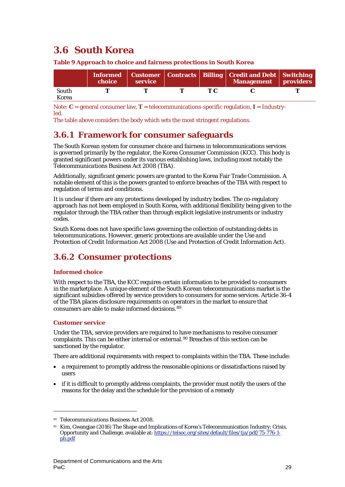# <span id="page-29-0"></span>**3.6 South Korea**

|       | choice | service |  | Informed   Customer   Contracts   Billing   Credit and Debt   Switching  <br>Management providers |  |
|-------|--------|---------|--|---------------------------------------------------------------------------------------------------|--|
| South |        |         |  |                                                                                                   |  |
| Korea |        |         |  |                                                                                                   |  |

**Table 9 Approach to choice and fairness protections in South Korea**

Note: **C** = general consumer law, **T** = telecommunications-specific regulation, **I** = Industryled.

The table above considers the body which sets the most stringent regulations.

# **3.6.1 Framework for consumer safeguards**

The South Korean system for consumer choice and fairness in telecommunications services is governed primarily by the regulator, the Korea Consumer Commission (KCC). This body is granted significant powers under its various establishing laws, including most notably the *Telecommunications Business Act 2008 (TBA).*

Additionally, significant generic powers are granted to the Korea Fair Trade Commission. A notable element of this is the powers granted to enforce breaches of the TBA with respect to regulation of terms and conditions.

It is unclear if there are any protections developed by industry bodies. The co-regulatory approach has not been employed in South Korea, with additional flexibility being given to the regulator through the TBA rather than through explicit legislative instruments or industry codes.

South Korea does not have specific laws governing the collection of outstanding debts in telecommunications. However, generic protections are available under the *Use and Protection of Credit Information Act 2008 (*Use and Protection of Credit Information Act)*.*

# **3.6.2 Consumer protections**

## **Informed choice**

With respect to the TBA, the KCC requires certain information to be provided to consumers in the marketplace. A unique element of the South Korean telecommunications market is the significant subsidies offered by service providers to consumers for some services. Article 36-4 of the TBA places disclosure requirements on operators in the market to ensure that consumers are able to make informed decisions.[89](#page-29-1)

## **Customer service**

 $\overline{a}$ 

Under the TBA, service providers are required to have mechanisms to resolve consumer complaints. This can be either internal or external.<sup>[90](#page-29-2)</sup> Breaches of this section can be sanctioned by the regulator.

There are additional requirements with respect to complaints within the TBA. These include:

- a requirement to promptly address the reasonable opinions or dissatisfactions raised by users
- if it is difficult to promptly address complaints, the provider must notify the users of the reasons for the delay and the schedule for the provision of a remedy

<span id="page-29-1"></span><sup>89</sup> *Telecommunications Business Act 2008.*

<span id="page-29-2"></span><sup>90</sup> Kim, Gwangjae (2016) The Shape and Implications of Korea's Telecommunication Industry: Crisis, Opportunity and Challenge, available at: [https://telsoc.org/sites/default/files/tja/pdf/75-776-1](https://telsoc.org/sites/default/files/tja/pdf/75-776-1-pb.pdf) [pb.pdf](https://telsoc.org/sites/default/files/tja/pdf/75-776-1-pb.pdf)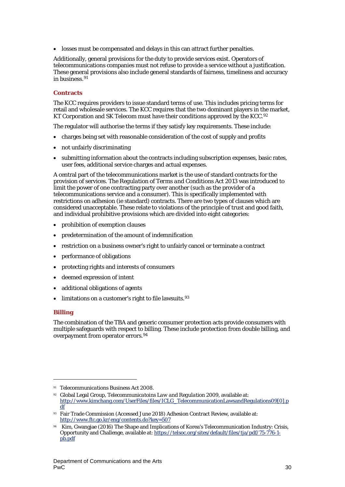• losses must be compensated and delays in this can attract further penalties.

Additionally, general provisions for the duty to provide services exist. Operators of telecommunications companies must not refuse to provide a service without a justification. These general provisions also include general standards of fairness, timeliness and accuracy in business.<sup>[91](#page-30-0)</sup>

## **Contracts**

The KCC requires providers to issue standard terms of use. This includes pricing terms for retail and wholesale services. The KCC requires that the two dominant players in the market, KT Corporation and SK Telecom must have their conditions approved by the KCC.<sup>[92](#page-30-1)</sup>

The regulator will authorise the terms if they satisfy key requirements. These include:

- charges being set with reasonable consideration of the cost of supply and profits
- not unfairly discriminating
- submitting information about the contracts including subscription expenses, basic rates, user fees, additional service charges and actual expenses.

A central part of the telecommunications market is the use of standard contracts for the provision of services. The *Regulation of Terms and Conditions Act 2013* was introduced to limit the power of one contracting party over another (such as the provider of a telecommunications service and a consumer). This is specifically implemented with restrictions on adhesion (ie standard) contracts. There are two types of clauses which are considered unacceptable. These relate to violations of the principle of trust and good faith, and individual prohibitive provisions which are divided into eight categories:

- prohibition of exemption clauses
- predetermination of the amount of indemnification
- restriction on a business owner's right to unfairly cancel or terminate a contract
- performance of obligations
- protecting rights and interests of consumers
- deemed expression of intent
- additional obligations of agents
- limitations on a customer's right to file lawsuits.<sup>[93](#page-30-2)</sup>

## **Billing**

 $\overline{a}$ 

The combination of the TBA and generic consumer protection acts provide consumers with multiple safeguards with respect to billing. These include protection from double billing, and overpayment from operator errors.[94](#page-30-3)

<span id="page-30-0"></span><sup>91</sup> *Telecommunications Business Act 2008.*

<span id="page-30-1"></span><sup>92</sup> Global Legal Group, *Telecommunicatoins Law and Regulation* 2009, available at: [http://www.kimchang.com/UserFiles/files/ICLG\\_TelecommunicationLawsandRegulations09\[0\].p](http://www.kimchang.com/UserFiles/files/ICLG_TelecommunicationLawsandRegulations09%5b0%5d.pdf) [df](http://www.kimchang.com/UserFiles/files/ICLG_TelecommunicationLawsandRegulations09%5b0%5d.pdf) 

<span id="page-30-2"></span><sup>93</sup> Fair Trade Commission (Accessed June 2018) Adhesion Contract Review, available at: <http://www.ftc.go.kr/eng/contents.do?key=507>

<span id="page-30-3"></span><sup>94</sup> Kim, Gwangjae (2016) The Shape and Implications of Korea's Telecommunication Industry: Crisis, Opportunity and Challenge, available at: [https://telsoc.org/sites/default/files/tja/pdf/75-776-1](https://telsoc.org/sites/default/files/tja/pdf/75-776-1-pb.pdf) [pb.pdf](https://telsoc.org/sites/default/files/tja/pdf/75-776-1-pb.pdf)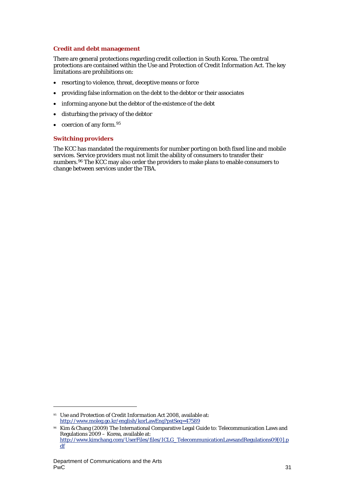## **Credit and debt management**

There are general protections regarding credit collection in South Korea. The central protections are contained within the Use and Protection of Credit Information Act. The key limitations are prohibitions on:

- resorting to violence, threat, deceptive means or force
- providing false information on the debt to the debtor or their associates
- informing anyone but the debtor of the existence of the debt
- disturbing the privacy of the debtor
- $\bullet$  coercion of any form.  $95$

## **Switching providers**

The KCC has mandated the requirements for number porting on both fixed line and mobile services. Service providers must not limit the ability of consumers to transfer their numbers.<sup>[96](#page-31-1)</sup> The KCC may also order the providers to make plans to enable consumers to change between services under the TBA.

<span id="page-31-0"></span><sup>95</sup> *Use and Protection of Credit Information Act 2008*, available at: <http://www.moleg.go.kr/english/korLawEng?pstSeq=47589>

<span id="page-31-1"></span><sup>96</sup> Kim & Chang (2009) The International Comparative Legal Guide to: Telecommunication Laws and Regulations 2009 – Korea, available at: [http://www.kimchang.com/UserFiles/files/ICLG\\_TelecommunicationLawsandRegulations09\[0\].p](http://www.kimchang.com/UserFiles/files/ICLG_TelecommunicationLawsandRegulations09%5b0%5d.pdf) [df](http://www.kimchang.com/UserFiles/files/ICLG_TelecommunicationLawsandRegulations09%5b0%5d.pdf)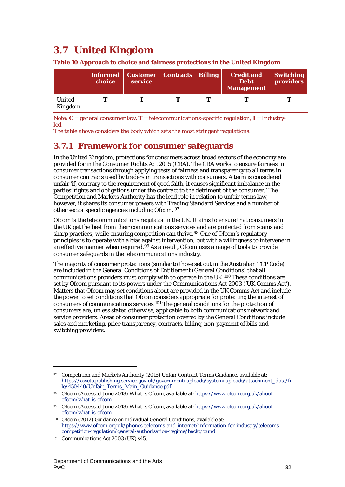# <span id="page-32-0"></span>**3.7 United Kingdom**

|                   | choice | Informed   Customer   Contracts   Billing  <br>service |  | <b>Credit and</b><br><b>Debt</b><br><b>Management</b> | <b>Switching</b><br>providers |
|-------------------|--------|--------------------------------------------------------|--|-------------------------------------------------------|-------------------------------|
| United<br>Kingdom |        |                                                        |  |                                                       |                               |

**Table 10 Approach to choice and fairness protections in the United Kingdom**

Note: **C** = general consumer law, **T** = telecommunications-specific regulation, **I** = Industryled.

The table above considers the body which sets the most stringent regulations.

# **3.7.1 Framework for consumer safeguards**

In the United Kingdom, protections for consumers across broad sectors of the economy are provided for in the *Consumer Rights Act 2015* (CRA). The CRA works to ensure fairness in consumer transactions through applying tests of fairness and transparency to all terms in consumer contracts used by traders in transactions with consumers. A term is considered unfair 'if, contrary to the requirement of good faith, it causes significant imbalance in the parties' rights and obligations under the contract to the detriment of the consumer.' The Competition and Markets Authority has the lead role in relation to unfair terms law, however, it shares its consumer powers with Trading Standard Services and a number of other sector specific agencies including Ofcom. [97](#page-32-1)

Ofcom is the telecommunications regulator in the UK. It aims to ensure that consumers in the UK get the best from their communications services and are protected from scams and sharp practices, while ensuring competition can thrive.<sup>[98](#page-32-2)</sup> One of Ofcom's regulatory principles is to operate with a bias against intervention, but with a willingness to intervene in an effective manner when required.<sup>[99](#page-32-3)</sup> As a result, Ofcom uses a range of tools to provide consumer safeguards in the telecommunications industry.

The majority of consumer protections (similar to those set out in the Australian TCP Code) are included in the General Conditions of Entitlement (General Conditions) that all communications providers must comply with to operate in the UK.[100](#page-32-4) These conditions are set by Ofcom pursuant to its powers under the *Communications Act 2003* ('UK Comms Act'). Matters that Ofcom may set conditions about are provided in the UK Comms Act and include the power to set conditions that Ofcom considers appropriate for protecting the interest of consumers of communications services.[101](#page-32-5) The general conditions for the protection of consumers are, unless stated otherwise, applicable to both communications network and service providers. Areas of consumer protection covered by the General Conditions include sales and marketing, price transparency, contracts, billing, non-payment of bills and switching providers.

<span id="page-32-1"></span><sup>97</sup> Competition and Markets Authority (2015) Unfair Contract Terms Guidance, available at: [https://assets.publishing.service.gov.uk/government/uploads/system/uploads/attachment\\_data/fi](https://assets.publishing.service.gov.uk/government/uploads/system/uploads/attachment_data/file/450440/Unfair_Terms_Main_Guidance.pdf) [le/450440/Unfair\\_Terms\\_Main\\_Guidance.pdf](https://assets.publishing.service.gov.uk/government/uploads/system/uploads/attachment_data/file/450440/Unfair_Terms_Main_Guidance.pdf)

<span id="page-32-2"></span><sup>98</sup> Ofcom (Accessed June 2018) What is Ofcom, available at: [https://www.ofcom.org.uk/about](https://www.ofcom.org.uk/about-ofcom/what-is-ofcom)[ofcom/what-is-ofcom](https://www.ofcom.org.uk/about-ofcom/what-is-ofcom)

<span id="page-32-3"></span><sup>99</sup> Ofcom (Accessed June 2018) What is Ofcom, available at: [https://www.ofcom.org.uk/about](https://www.ofcom.org.uk/about-ofcom/what-is-ofcom)[ofcom/what-is-ofcom](https://www.ofcom.org.uk/about-ofcom/what-is-ofcom)

<span id="page-32-4"></span><sup>100</sup> Ofcom (2012) Guidance on individual General Conditions, available at: [https://www.ofcom.org.uk/phones-telecoms-and-internet/information-for-industry/telecoms](https://www.ofcom.org.uk/phones-telecoms-and-internet/information-for-industry/telecoms-competition-regulation/general-authorisation-regime/background)[competition-regulation/general-authorisation-regime/background](https://www.ofcom.org.uk/phones-telecoms-and-internet/information-for-industry/telecoms-competition-regulation/general-authorisation-regime/background)

<span id="page-32-5"></span>*Communications Act 2003* (UK) s45.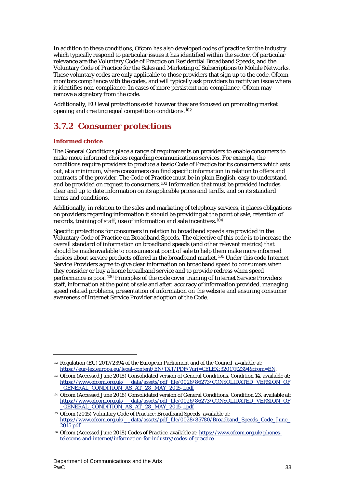In addition to these conditions, Ofcom has also developed codes of practice for the industry which typically respond to particular issues it has identified within the sector. Of particular relevance are the Voluntary Code of Practice on Residential Broadband Speeds, and the Voluntary Code of Practice for the Sales and Marketing of Subscriptions to Mobile Networks. These voluntary codes are only applicable to those providers that sign up to the code. Ofcom monitors compliance with the codes, and will typically ask providers to rectify an issue where it identifies non-compliance. In cases of more persistent non-compliance, Ofcom may remove a signatory from the code.

Additionally, EU level protections exist however they are focussed on promoting market opening and creating equal competition conditions.[102](#page-33-0)

# **3.7.2 Consumer protections**

## **Informed choice**

1

The General Conditions place a range of requirements on providers to enable consumers to make more informed choices regarding communications services. For example, the conditions require providers to produce a basic Code of Practice for its consumers which sets out, at a minimum, where consumers can find specific information in relation to offers and contracts of the provider. The Code of Practice must be in plain English, easy to understand and be provided on request to consumers.<sup>[103](#page-33-1)</sup> Information that must be provided includes clear and up to date information on its applicable prices and tariffs, and on its standard terms and conditions.

Additionally, in relation to the sales and marketing of telephony services, it places obligations on providers regarding information it should be providing at the point of sale, retention of records, training of staff, use of information and sale incentives.[104](#page-33-2)

Specific protections for consumers in relation to broadband speeds are provided in the Voluntary Code of Practice on Broadband Speeds. The objective of this code is to increase the overall standard of information on broadband speeds (and other relevant metrics) that should be made available to consumers at point of sale to help them make more informed choices about service products offered in the broadband market.[105](#page-33-3) Under this code Internet Service Providers agree to give clear information on broadband speed to consumers when they consider or buy a home broadband service and to provide redress when speed performance is poor.[106](#page-33-4) Principles of the code cover training of Internet Service Providers staff, information at the point of sale and after, accuracy of information provided, managing speed related problems, presentation of information on the website and ensuring consumer awareness of Internet Service Provider adoption of the Code.

<span id="page-33-0"></span><sup>102</sup> Regulation (EU) 2017/2394 of the European Parliament and of the Council, available at: [https://eur-lex.europa.eu/legal-content/EN/TXT/PDF/?uri=CELEX:32017R2394&from=EN.](https://eur-lex.europa.eu/legal-content/EN/TXT/PDF/?uri=CELEX:32017R2394&from=EN)

<span id="page-33-1"></span><sup>103</sup> Ofcom (Accessed June 2018) Consolidated version of General Conditions. Condition 14, available at: [https://www.ofcom.org.uk/\\_\\_data/assets/pdf\\_file/0026/86273/CONSOLIDATED\\_VERSION\\_OF](https://www.ofcom.org.uk/__data/assets/pdf_file/0026/86273/CONSOLIDATED_VERSION_OF_GENERAL_CONDITION_AS_AT_28_MAY_2015-1.pdf) [\\_GENERAL\\_CONDITION\\_AS\\_AT\\_28\\_MAY\\_2015-1.pdf](https://www.ofcom.org.uk/__data/assets/pdf_file/0026/86273/CONSOLIDATED_VERSION_OF_GENERAL_CONDITION_AS_AT_28_MAY_2015-1.pdf)

<span id="page-33-2"></span><sup>104</sup> Ofcom (Accessed June 2018) Consolidated version of General Conditions. Condition 23, available at: https://www.ofcom.org.uk/ data/assets/pdf\_file/0026/86273/CONSOLIDATED\_VERSION\_OF [\\_GENERAL\\_CONDITION\\_AS\\_AT\\_28\\_MAY\\_2015-1.pdf](https://www.ofcom.org.uk/__data/assets/pdf_file/0026/86273/CONSOLIDATED_VERSION_OF_GENERAL_CONDITION_AS_AT_28_MAY_2015-1.pdf)

<span id="page-33-3"></span><sup>105</sup> Ofcom (2015) Voluntary Code of Practice: Broadband Speeds, available at: https://www.ofcom.org.uk/ data/assets/pdf\_file/0028/85780/Broadband\_Speeds\_Code\_June\_ [2015.pdf](https://www.ofcom.org.uk/__data/assets/pdf_file/0028/85780/Broadband_Speeds_Code_June_2015.pdf)

<span id="page-33-4"></span><sup>106</sup> Ofcom (Accessed June 2018) Codes of Practice, available at[: https://www.ofcom.org.uk/phones](https://www.ofcom.org.uk/phones-telecoms-and-internet/information-for-industry/codes-of-practice)[telecoms-and-internet/information-for-industry/codes-of-practice](https://www.ofcom.org.uk/phones-telecoms-and-internet/information-for-industry/codes-of-practice)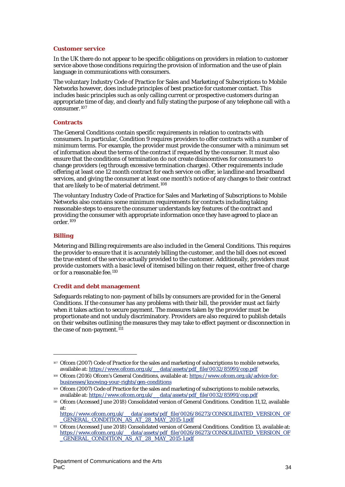#### **Customer service**

In the UK there do not appear to be specific obligations on providers in relation to customer service above those conditions requiring the provision of information and the use of plain language in communications with consumers.

The voluntary Industry Code of Practice for Sales and Marketing of Subscriptions to Mobile Networks however, does include principles of best practice for customer contact. This includes basic principles such as only calling current or prospective customers during an appropriate time of day, and clearly and fully stating the purpose of any telephone call with a consumer.[107](#page-34-0)

#### **Contracts**

The General Conditions contain specific requirements in relation to contracts with consumers. In particular, Condition 9 requires providers to offer contracts with a number of minimum terms. For example, the provider must provide the consumer with a minimum set of information about the terms of the contract if requested by the consumer. It must also ensure that the conditions of termination do not create disincentives for consumers to change providers (eg through excessive termination charges). Other requirements include offering at least one 12 month contract for each service on offer, ie landline and broadband services, and giving the consumer at least one month's notice of any changes to their contract that are likely to be of material detriment.[108](#page-34-1)

The voluntary Industry Code of Practice for Sales and Marketing of Subscriptions to Mobile Networks also contains some minimum requirements for contracts including taking reasonable steps to ensure the consumer understands key features of the contract and providing the consumer with appropriate information once they have agreed to place an order.[109](#page-34-2)

#### **Billing**

1

Metering and Billing requirements are also included in the General Conditions. This requires the provider to ensure that it is accurately billing the customer, and the bill does not exceed the true extent of the service actually provided to the customer. Additionally, providers must provide customers with a basic level of itemised billing on their request, either free of charge or for a reasonable fee.[110](#page-34-3)

#### **Credit and debt management**

Safeguards relating to non-payment of bills by consumers are provided for in the General Conditions. If the consumer has any problems with their bill, the provider must act fairly when it takes action to secure payment. The measures taken by the provider must be proportionate and not unduly discriminatory. Providers are also required to publish details on their websites outlining the measures they may take to effect payment or disconnection in the case of non-payment.<sup>[111](#page-34-4)</sup>

<span id="page-34-0"></span><sup>107</sup> Ofcom (2007) Code of Practice for the sales and marketing of subscriptions to mobile networks, available at: https://www.ofcom.org.uk/ data/assets/pdf\_file/0032/85991/cop.pdf

<span id="page-34-1"></span><sup>108</sup> Ofcom (2016) Ofcom's General Conditions, available at: [https://www.ofcom.org.uk/advice-for](https://www.ofcom.org.uk/advice-for-businesses/knowing-your-rights/gen-conditions)[businesses/knowing-your-rights/gen-conditions](https://www.ofcom.org.uk/advice-for-businesses/knowing-your-rights/gen-conditions)

<span id="page-34-2"></span><sup>109</sup> Ofcom (2007) Code of Practice for the sales and marketing of subscriptions to mobile networks, available at: https://www.ofcom.org.uk/ data/assets/pdf\_file/0032/85991/cop.pdf

<span id="page-34-3"></span><sup>110</sup> Ofcom (Accessed June 2018) Consolidated version of General Conditions. Condition 11,12, available at:

[https://www.ofcom.org.uk/\\_\\_data/assets/pdf\\_file/0026/86273/CONSOLIDATED\\_VERSION\\_OF](https://www.ofcom.org.uk/__data/assets/pdf_file/0026/86273/CONSOLIDATED_VERSION_OF_GENERAL_CONDITION_AS_AT_28_MAY_2015-1.pdf) [\\_GENERAL\\_CONDITION\\_AS\\_AT\\_28\\_MAY\\_2015-1.pdf](https://www.ofcom.org.uk/__data/assets/pdf_file/0026/86273/CONSOLIDATED_VERSION_OF_GENERAL_CONDITION_AS_AT_28_MAY_2015-1.pdf)

<span id="page-34-4"></span><sup>111</sup> Ofcom (Accessed June 2018) Consolidated version of General Conditions. Condition 13, available at: [https://www.ofcom.org.uk/\\_\\_data/assets/pdf\\_file/0026/86273/CONSOLIDATED\\_VERSION\\_OF](https://www.ofcom.org.uk/__data/assets/pdf_file/0026/86273/CONSOLIDATED_VERSION_OF_GENERAL_CONDITION_AS_AT_28_MAY_2015-1.pdf) [\\_GENERAL\\_CONDITION\\_AS\\_AT\\_28\\_MAY\\_2015-1.pdf](https://www.ofcom.org.uk/__data/assets/pdf_file/0026/86273/CONSOLIDATED_VERSION_OF_GENERAL_CONDITION_AS_AT_28_MAY_2015-1.pdf)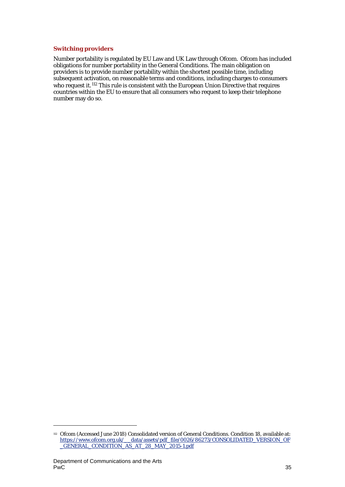#### **Switching providers**

Number portability is regulated by EU Law and UK Law through Ofcom. Ofcom has included obligations for number portability in the General Conditions. The main obligation on providers is to provide number portability within the shortest possible time, including subsequent activation, on reasonable terms and conditions, including charges to consumers who request it.[112](#page-35-0) This rule is consistent with the European Union Directive that requires countries within the EU to ensure that all consumers who request to keep their telephone number may do so.

<span id="page-35-0"></span><sup>112</sup> Ofcom (Accessed June 2018) Consolidated version of General Conditions. Condition 18, available at: [https://www.ofcom.org.uk/\\_\\_data/assets/pdf\\_file/0026/86273/CONSOLIDATED\\_VERSION\\_OF](https://www.ofcom.org.uk/__data/assets/pdf_file/0026/86273/CONSOLIDATED_VERSION_OF_GENERAL_CONDITION_AS_AT_28_MAY_2015-1.pdf) [\\_GENERAL\\_CONDITION\\_AS\\_AT\\_28\\_MAY\\_2015-1.pdf](https://www.ofcom.org.uk/__data/assets/pdf_file/0026/86273/CONSOLIDATED_VERSION_OF_GENERAL_CONDITION_AS_AT_28_MAY_2015-1.pdf)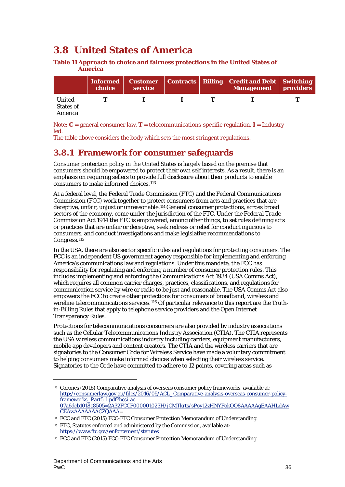# <span id="page-36-0"></span>**3.8 United States of America**

**Table 11 Approach to choice and fairness protections in the United States of America**

|                                       | Informed<br>choice | service |  | Customer   Contracts   Billing   Credit and Debt   Switching<br><b>Management</b> providers |  |
|---------------------------------------|--------------------|---------|--|---------------------------------------------------------------------------------------------|--|
| United<br><b>States of</b><br>America |                    |         |  |                                                                                             |  |

Note: **C** = general consumer law, **T** = telecommunications-specific regulation, **I** = Industryled.

The table above considers the body which sets the most stringent regulations.

# **3.8.1 Framework for consumer safeguards**

Consumer protection policy in the United States is largely based on the premise that consumers should be empowered to protect their own self interests. As a result, there is an emphasis on requiring sellers to provide full disclosure about their products to enable consumers to make informed choices.[113](#page-36-1)

At a federal level, the Federal Trade Commission (FTC) and the Federal Communications Commission (FCC) work together to protect consumers from acts and practices that are deceptive, unfair, unjust or unreasonable.[114](#page-36-2) General consumer protections, across broad sectors of the economy, come under the jurisdiction of the FTC. Under the *Federal Trade Commission Act 1914* the FTC is empowered, among other things, to set rules defining acts or practices that are unfair or deceptive, seek redress or relief for conduct injurious to consumers, and conduct investigations and make legislative recommendations to Congress.<sup>[115](#page-36-3)</sup>

In the USA, there are also sector specific rules and regulations for protecting consumers. The FCC is an independent US government agency responsible for implementing and enforcing America's communications law and regulations. Under this mandate, the FCC has responsibility for regulating and enforcing a number of consumer protection rules. This includes implementing and enforcing the *Communications Act 1934* (USA Comms Act)*,*  which requires all common carrier charges, practices, classifications, and regulations for communication service by wire or radio to be just and reasonable. The USA Comms Act also empowers the FCC to create other protections for consumers of broadband, wireless and wireline telecommunications services.<sup>[116](#page-36-4)</sup> Of particular relevance to this report are the Truthin-Billing Rules that apply to telephone service providers and the Open Internet Transparency Rules.

Protections for telecommunications consumers are also provided by industry associations such as the Cellular Telecommunications Industry Association (CTIA). The CTIA represents the USA wireless communications industry including carriers, equipment manufacturers, mobile app developers and content creators. The CTIA and the wireless carriers that are signatories to the Consumer Code for Wireless Service have made a voluntary commitment to helping consumers make informed choices when selecting their wireless service. Signatories to the Code have committed to adhere to 12 points, covering areas such as

<span id="page-36-1"></span><sup>113</sup> Corones (2016) Comparative analysis of overseas consumer policy frameworks, available at: [http://consumerlaw.gov.au/files/2016/05/ACL\\_Comparative-analysis-overseas-consumer-policy](http://consumerlaw.gov.au/files/2016/05/ACL_Comparative-analysis-overseas-consumer-policy-frameworks_Part5-1.pdf?bcsi-ac-07a6dcb1018c8505=2A32FCCF000001023H/jCMTkrts/sPoy12zHNYFokOQ8AAAAAgEAAHLdAwCEAwAAAAAAACZQAAA)[frameworks\\_Part5-1.pdf?bcsi-ac-](http://consumerlaw.gov.au/files/2016/05/ACL_Comparative-analysis-overseas-consumer-policy-frameworks_Part5-1.pdf?bcsi-ac-07a6dcb1018c8505=2A32FCCF000001023H/jCMTkrts/sPoy12zHNYFokOQ8AAAAAgEAAHLdAwCEAwAAAAAAACZQAAA)[07a6dcb1018c8505=2A32FCCF000001023H/jCMTkrts/sPoy12zHNYFokOQ8AAAAAgEAAHLdAw](http://consumerlaw.gov.au/files/2016/05/ACL_Comparative-analysis-overseas-consumer-policy-frameworks_Part5-1.pdf?bcsi-ac-07a6dcb1018c8505=2A32FCCF000001023H/jCMTkrts/sPoy12zHNYFokOQ8AAAAAgEAAHLdAwCEAwAAAAAAACZQAAA) [CEAwAAAAAAACZQAAA=](http://consumerlaw.gov.au/files/2016/05/ACL_Comparative-analysis-overseas-consumer-policy-frameworks_Part5-1.pdf?bcsi-ac-07a6dcb1018c8505=2A32FCCF000001023H/jCMTkrts/sPoy12zHNYFokOQ8AAAAAgEAAHLdAwCEAwAAAAAAACZQAAA)

<span id="page-36-2"></span><sup>114</sup> FCC and FTC (2015) FCC-FTC Consumer Protection Memorandum of Understanding.

<span id="page-36-3"></span><sup>115</sup> FTC, Statutes enforced and administered by the Commission, available at: <https://www.ftc.gov/enforcement/statutes>

<span id="page-36-4"></span><sup>116</sup> FCC and FTC (2015) FCC-FTC Consumer Protection Memorandum of Understanding.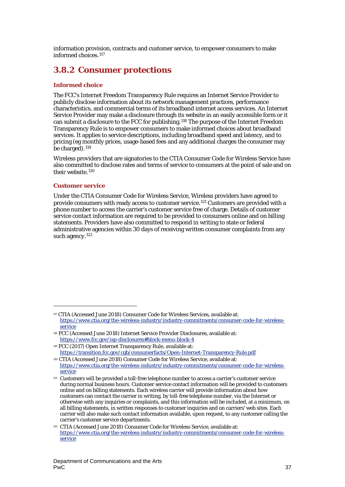information provision, contracts and customer service, to empower consumers to make informed choices.[117](#page-37-0)

# **3.8.2 Consumer protections**

## **Informed choice**

The FCC's Internet Freedom Transparency Rule requires an Internet Service Provider to publicly disclose information about its network management practices, performance characteristics, and commercial terms of its broadband internet access services. An Internet Service Provider may make a disclosure through its website in an easily accessible form or it can submit a disclosure to the FCC for publishing.[118](#page-37-1) The purpose of the Internet Freedom Transparency Rule is to empower consumers to make informed choices about broadband services. It applies to service descriptions, including broadband speed and latency, and to pricing (eg monthly prices, usage-based fees and any additional charges the consumer may be charged). $119$ 

Wireless providers that are signatories to the CTIA Consumer Code for Wireless Service have also committed to disclose rates and terms of service to consumers at the point of sale and on their website.<sup>[120](#page-37-3)</sup>

## **Customer service**

 $\overline{a}$ 

Under the CTIA Consumer Code for Wireless Service, Wireless providers have agreed to provide consumers with ready access to customer service.[121](#page-37-4) Customers are provided with a phone number to access the carrier's customer service free of charge. Details of customer service contact information are required to be provided to consumers online and on billing statements. Providers have also committed to respond in writing to state or federal administrative agencies within 30 days of receiving written consumer complaints from any such agency.<sup>[122](#page-37-5)</sup>

<span id="page-37-0"></span><sup>117</sup> CTIA (Accessed June 2018) Consumer Code for Wireless Services, available at: [https://www.ctia.org/the-wireless-industry/industry-commitments/consumer-code-for-wireless](https://www.ctia.org/the-wireless-industry/industry-commitments/consumer-code-for-wireless-service)[service](https://www.ctia.org/the-wireless-industry/industry-commitments/consumer-code-for-wireless-service)

<span id="page-37-1"></span><sup>118</sup> FCC (Accessed June 2018) Internet Service Provider Disclosures, available at: <https://www.fcc.gov/isp-disclosures#block-menu-block-4>

<span id="page-37-2"></span><sup>119</sup> FCC (2017) Open Internet Transparency Rule, available at: <https://transition.fcc.gov/cgb/consumerfacts/Open-Internet-Transparency-Rule.pdf>

<span id="page-37-3"></span><sup>120</sup> CTIA (Accessed June 2018) Consumer Code for Wireless Service, available at: [https://www.ctia.org/the-wireless-industry/industry-commitments/consumer-code-for-wireless](https://www.ctia.org/the-wireless-industry/industry-commitments/consumer-code-for-wireless-service)[service](https://www.ctia.org/the-wireless-industry/industry-commitments/consumer-code-for-wireless-service)

<span id="page-37-4"></span><sup>&</sup>lt;sup>121</sup> Customers will be provided a toll-free telephone number to access a carrier's customer service during normal business hours. Customer service contact information will be provided to customers online and on billing statements. Each wireless carrier will provide information about how customers can contact the carrier in writing, by toll-free telephone number, via the Internet or otherwise with any inquiries or complaints, and this information will be included, at a minimum, on all billing statements, in written responses to customer inquiries and on carriers' web sites. Each carrier will also make such contact information available, upon request, to any customer calling the carrier's customer service departments.

<span id="page-37-5"></span><sup>122</sup> CTIA (Accessed June 2018) Consumer Code for Wireless Service, available at: [https://www.ctia.org/the-wireless-industry/industry-commitments/consumer-code-for-wireless](https://www.ctia.org/the-wireless-industry/industry-commitments/consumer-code-for-wireless-service)[service](https://www.ctia.org/the-wireless-industry/industry-commitments/consumer-code-for-wireless-service)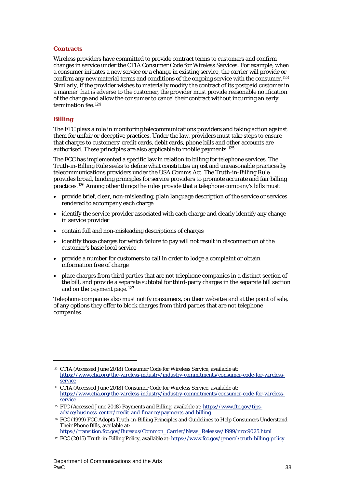### **Contracts**

Wireless providers have committed to provide contract terms to customers and confirm changes in service under the CTIA Consumer Code for Wireless Services. For example, when a consumer initiates a new service or a change in existing service, the carrier will provide or confirm any new material terms and conditions of the ongoing service with the consumer.[123](#page-38-0) Similarly, if the provider wishes to materially modify the contract of its postpaid customer in a manner that is adverse to the customer, the provider must provide reasonable notification of the change and allow the consumer to cancel their contract without incurring an early termination fee.[124](#page-38-1)

## **Billing**

 $\overline{a}$ 

The FTC plays a role in monitoring telecommunications providers and taking action against them for unfair or deceptive practices. Under the law, providers must take steps to ensure that charges to customers' credit cards, debit cards, phone bills and other accounts are authorised. These principles are also applicable to mobile payments.[125](#page-38-2)

The FCC has implemented a specific law in relation to billing for telephone services. The Truth-in-Billing Rule seeks to define what constitutes unjust and unreasonable practices by telecommunications providers under the USA Comms Act. The Truth-in-Billing Rule provides broad, binding principles for service providers to promote accurate and fair billing practices.[126](#page-38-3) Among other things the rules provide that a telephone company's bills must:

- provide brief, clear, non-misleading, plain language description of the service or services rendered to accompany each charge
- identify the service provider associated with each charge and clearly identify any change in service provider
- contain full and non-misleading descriptions of charges
- identify those charges for which failure to pay will not result in disconnection of the customer's basic local service
- provide a number for customers to call in order to lodge a complaint or obtain information free of charge
- place charges from third parties that are not telephone companies in a distinct section of the bill, and provide a separate subtotal for third-party charges in the separate bill section and on the payment page.<sup>[127](#page-38-4)</sup>

Telephone companies also must notify consumers, on their websites and at the point of sale, of any options they offer to block charges from third parties that are not telephone companies.

<span id="page-38-0"></span><sup>123</sup> CTIA (Accessed June 2018) Consumer Code for Wireless Service, available at: [https://www.ctia.org/the-wireless-industry/industry-commitments/consumer-code-for-wireless](https://www.ctia.org/the-wireless-industry/industry-commitments/consumer-code-for-wireless-service)[service](https://www.ctia.org/the-wireless-industry/industry-commitments/consumer-code-for-wireless-service)

<span id="page-38-1"></span><sup>124</sup> CTIA (Accessed June 2018) Consumer Code for Wireless Service, available at: [https://www.ctia.org/the-wireless-industry/industry-commitments/consumer-code-for-wireless](https://www.ctia.org/the-wireless-industry/industry-commitments/consumer-code-for-wireless-service)[service](https://www.ctia.org/the-wireless-industry/industry-commitments/consumer-code-for-wireless-service)

<span id="page-38-2"></span><sup>125</sup> FTC (Accessed June 2018) Payments and Billing, available at: [https://www.ftc.gov/tips](https://www.ftc.gov/tips-advice/business-center/credit-and-finance/payments-and-billing)[advice/business-center/credit-and-finance/payments-and-billing](https://www.ftc.gov/tips-advice/business-center/credit-and-finance/payments-and-billing)

<span id="page-38-3"></span><sup>126</sup> FCC (1999) FCC Adopts Truth-in-Billing Principles and Guidelines to Help Consumers Understand Their Phone Bills, available at:

[https://transition.fcc.gov/Bureaus/Common\\_Carrier/News\\_Releases/1999/nrcc9025.html](https://transition.fcc.gov/Bureaus/Common_Carrier/News_Releases/1999/nrcc9025.html)

<span id="page-38-4"></span><sup>&</sup>lt;sup>127</sup> FCC (2015) Truth-in-Billing Policy, available at[: https://www.fcc.gov/general/truth-billing-policy](https://www.fcc.gov/general/truth-billing-policy)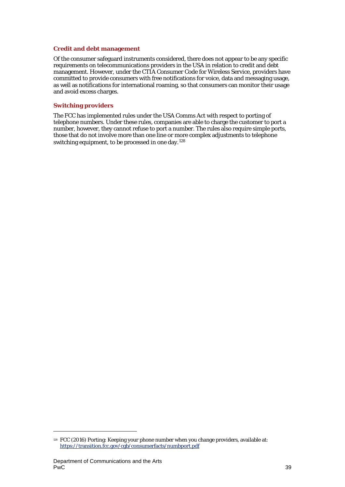#### **Credit and debt management**

Of the consumer safeguard instruments considered, there does not appear to be any specific requirements on telecommunications providers in the USA in relation to credit and debt management. However, under the CTIA Consumer Code for Wireless Service, providers have committed to provide consumers with free notifications for voice, data and messaging usage, as well as notifications for international roaming, so that consumers can monitor their usage and avoid excess charges.

#### **Switching providers**

The FCC has implemented rules under the USA Comms Act with respect to porting of telephone numbers. Under these rules, companies are able to charge the customer to port a number, however, they cannot refuse to port a number. The rules also require simple ports, those that do not involve more than one line or more complex adjustments to telephone switching equipment, to be processed in one day.[128](#page-39-0)

<span id="page-39-0"></span><sup>&</sup>lt;sup>128</sup> FCC (2016) Porting: Keeping your phone number when you change providers, available at: <https://transition.fcc.gov/cgb/consumerfacts/numbport.pdf>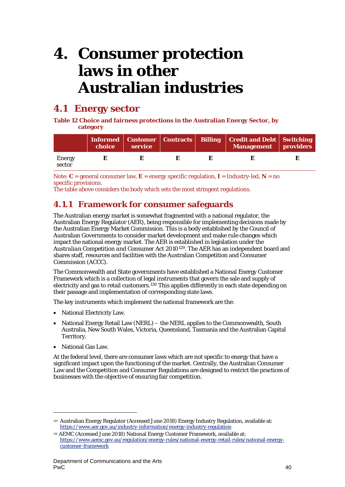# <span id="page-40-0"></span>**4. Consumer protection laws in other Australian industries**

# <span id="page-40-1"></span>**4.1 Energy sector**

**Table 12 Choice and fairness protections in the Australian Energy Sector, by category**

|                  | choice | service |  | Informed   Customer   Contracts   Billing   Credit and Debt   Switching<br>Management   providers |  |
|------------------|--------|---------|--|---------------------------------------------------------------------------------------------------|--|
| Energy<br>sector |        |         |  |                                                                                                   |  |

Note: **C** = general consumer law, **E** = energy specific regulation, **I** = Industry-led, **N** = no specific provisions.

The table above considers the body which sets the most stringent regulations.

# **4.1.1 Framework for consumer safeguards**

The Australian energy market is somewhat fragmented with a national regulator, the Australian Energy Regulator (AER), being responsible for implementing decisions made by the Australian Energy Market Commission. This is a body established by the Council of Australian Governments to consider market development and make rule changes which impact the national energy market. The AER is established in legislation under the *Australian Competition and Consumer Act 2010*[129.](#page-40-2) The AER has an independent board and shares staff, resources and facilities with the Australian Competition and Consumer Commission (ACCC).

The Commonwealth and State governments have established a National Energy Customer Framework which is a collection of legal instruments that govern the sale and supply of electricity and gas to retail customers.<sup>[130](#page-40-3)</sup> This applies differently in each state depending on their passage and implementation of corresponding state laws.

The key instruments which implement the national framework are the:

- National Electricity Law.
- National Energy Retail Law (NERL) the NERL applies to the Commonwealth, South Australia, New South Wales, Victoria, Queensland, Tasmania and the Australian Capital Territory.
- National Gas Law.

 $\overline{a}$ 

At the federal level, there are consumer laws which are not specific to energy that have a significant impact upon the functioning of the market. Centrally, the Australian Consumer Law and the Competition and Consumer Regulations are designed to restrict the practices of businesses with the objective of ensuring fair competition.

<span id="page-40-2"></span><sup>129</sup> Australian Energy Regulator (Accessed June 2018) Energy Industry Regulation, available at: <https://www.aer.gov.au/industry-information/energy-industry-regulation>

<span id="page-40-3"></span><sup>130</sup> AEMC (Accessed June 2018) National Energy Customer Framework, available at: [https://www.aemc.gov.au/regulation/energy-rules/national-energy-retail-rules/national-energy](https://www.aemc.gov.au/regulation/energy-rules/national-energy-retail-rules/national-energy-customer-framework)[customer-framework](https://www.aemc.gov.au/regulation/energy-rules/national-energy-retail-rules/national-energy-customer-framework)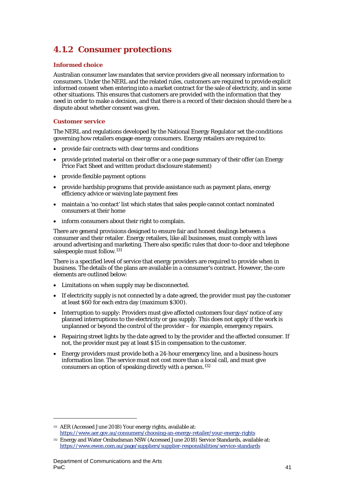# **4.1.2 Consumer protections**

## **Informed choice**

Australian consumer law mandates that service providers give all necessary information to consumers. Under the NERL and the related rules, customers are required to provide explicit informed consent when entering into a market contract for the sale of electricity, and in some other situations. This ensures that customers are provided with the information that they need in order to make a decision, and that there is a record of their decision should there be a dispute about whether consent was given.

## **Customer service**

The NERL and regulations developed by the National Energy Regulator set the conditions governing how retailers engage energy consumers. Energy retailers are required to:

- provide fair contracts with clear terms and conditions
- provide printed material on their offer or a one page summary of their offer (an Energy Price Fact Sheet and written product disclosure statement)
- provide flexible payment options
- provide hardship programs that provide assistance such as payment plans, energy efficiency advice or waiving late payment fees
- maintain a 'no contact' list which states that sales people cannot contact nominated consumers at their home
- inform consumers about their right to complain.

There are general provisions designed to ensure fair and honest dealings between a consumer and their retailer. Energy retailers, like all businesses, must comply with laws around advertising and marketing. There also specific rules that door-to-door and telephone salespeople must follow.[131](#page-41-0)

There is a specified level of service that energy providers are required to provide when in business. The details of the plans are available in a consumer's contract. However, the core elements are outlined below:

- Limitations on when supply may be disconnected.
- If electricity supply is not connected by a date agreed, the provider must pay the customer at least \$60 for each extra day (maximum \$300).
- Interruption to supply: Providers must give affected customers four days' notice of any planned interruptions to the electricity or gas supply. This does not apply if the work is unplanned or beyond the control of the provider – for example, emergency repairs.
- Repairing street lights by the date agreed to by the provider and the affected consumer. If not, the provider must pay at least \$15 in compensation to the customer.
- Energy providers must provide both a 24-hour emergency line, and a business-hours information line. The service must not cost more than a local call, and must give consumers an option of speaking directly with a person.[132](#page-41-1)

<span id="page-41-0"></span><sup>131</sup> AER (Accessed June 2018) Your energy rights, available at: <https://www.aer.gov.au/consumers/choosing-an-energy-retailer/your-energy-rights>

<span id="page-41-1"></span><sup>132</sup> Energy and Water Ombudsman NSW (Accessed June 2018) Service Standards, available at: <https://www.ewon.com.au/page/suppliers/supplier-responsibilities/service-standards>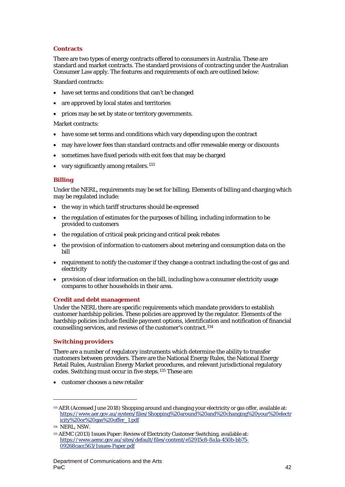## **Contracts**

There are two types of energy contracts offered to consumers in Australia. These are standard and market contracts. The standard provisions of contracting under the Australian Consumer Law apply. The features and requirements of each are outlined below:

Standard contracts:

- have set terms and conditions that can't be changed
- are approved by local states and territories
- prices may be set by state or territory governments.

#### Market contracts:

- have some set terms and conditions which vary depending upon the contract
- may have lower fees than standard contracts and offer renewable energy or discounts
- sometimes have fixed periods with exit fees that may be charged
- vary significantly among retailers.<sup>[133](#page-42-0)</sup>

## **Billing**

Under the NERL, requirements may be set for billing. Elements of billing and charging which may be regulated include:

- the way in which tariff structures should be expressed
- the regulation of estimates for the purposes of billing, including information to be provided to customers
- the regulation of critical peak pricing and critical peak rebates
- the provision of information to customers about metering and consumption data on the bill
- requirement to notify the customer if they change a contract including the cost of gas and electricity
- provision of clear information on the bill, including how a consumer electricity usage compares to other households in their area.

#### **Credit and debt management**

Under the NERL there are specific requirements which mandate providers to establish customer hardship policies. These policies are approved by the regulator. Elements of the hardship policies include flexible payment options, identification and notification of financial counselling services, and reviews of the customer's contract.[134](#page-42-1)

## **Switching providers**

There are a number of regulatory instruments which determine the ability to transfer customers between providers. There are the National Energy Rules, the National Energy Retail Rules, Australian Energy Market procedures, and relevant jurisdictional regulatory codes. Switching must occur in five steps.[135](#page-42-2) These are:

• customer chooses a new retailer

<span id="page-42-0"></span><sup>133</sup> AER (Accessed June 2018) Shopping around and changing your electricity or gas offer, available at: [https://www.aer.gov.au/system/files/Shopping%20around%20and%20changing%20your%20electr](https://www.aer.gov.au/system/files/Shopping%20around%20and%20changing%20your%20electricity%20or%20gas%20offer_1.pdf) [icity%20or%20gas%20offer\\_1.pdf](https://www.aer.gov.au/system/files/Shopping%20around%20and%20changing%20your%20electricity%20or%20gas%20offer_1.pdf)

<span id="page-42-1"></span><sup>134</sup> NERL, NSW.

<span id="page-42-2"></span><sup>135</sup> AEMC (2013) Issues Paper: Review of Electricity Customer Switching, available at: [https://www.aemc.gov.au/sites/default/files/content/e52915c8-8a1a-450b-bb75-](https://www.aemc.gov.au/sites/default/files/content/e52915c8-8a1a-450b-bb75-09268cacc563/Issues-Paper.pdf) [09268cacc563/Issues-Paper.pdf](https://www.aemc.gov.au/sites/default/files/content/e52915c8-8a1a-450b-bb75-09268cacc563/Issues-Paper.pdf)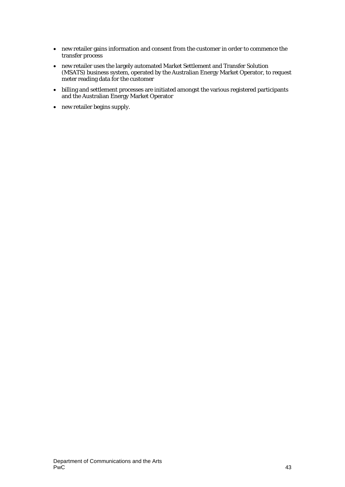- new retailer gains information and consent from the customer in order to commence the transfer process
- new retailer uses the largely automated Market Settlement and Transfer Solution (MSATS) business system, operated by the Australian Energy Market Operator, to request meter reading data for the customer
- billing and settlement processes are initiated amongst the various registered participants and the Australian Energy Market Operator
- new retailer begins supply.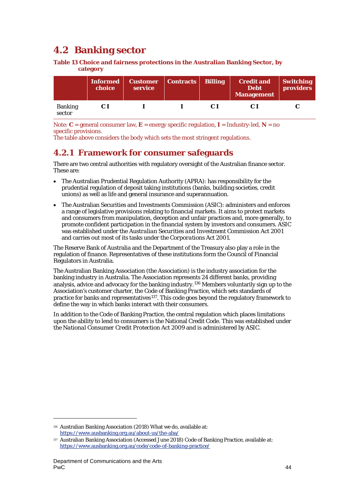# <span id="page-44-0"></span>**4.2 Banking sector**

**Table 13 Choice and fairness protections in the Australian Banking Sector, by category**

|                          | Informed<br>choice | Customer   Contracts   Billing<br>service |  | Credit and<br><b>Debt</b><br>Management | Switching<br>providers |
|--------------------------|--------------------|-------------------------------------------|--|-----------------------------------------|------------------------|
| <b>Banking</b><br>sector | C I                |                                           |  |                                         |                        |

Note:  $C =$  general consumer law,  $E =$  energy specific regulation,  $I =$  Industry-led,  $N =$  no specific provisions.

The table above considers the body which sets the most stringent regulations.

# **4.2.1 Framework for consumer safeguards**

There are two central authorities with regulatory oversight of the Australian finance sector. These are:

- The Australian Prudential Regulation Authority (APRA): has responsibility for the prudential regulation of deposit taking institutions (banks, building societies, credit unions) as well as life and general insurance and superannuation.
- The Australian Securities and Investments Commission (ASIC): administers and enforces a range of legislative provisions relating to financial markets. It aims to protect markets and consumers from manipulation, deception and unfair practices and, more generally, to promote confident participation in the financial system by investors and consumers. ASIC was established under the *Australian Securities and Investment Commission Act 2001* and carries out most of its tasks under the *Corporations Act 2001*.

The Reserve Bank of Australia and the Department of the Treasury also play a role in the regulation of finance. Representatives of these institutions form the Council of Financial Regulators in Australia.

The Australian Banking Association (the Association) is the industry association for the banking industry in Australia. The Association represents 24 different banks, providing analysis, advice and advocacy for the banking industry.[136](#page-44-1) Members voluntarily sign up to the Association's customer charter, the Code of Banking Practice*,* which sets standards of practice for banks and representatives<sup>[137](#page-44-2)</sup>. This code goes beyond the regulatory framework to define the way in which banks interact with their consumers.

In addition to the Code of Banking Practice, the central regulation which places limitations upon the ability to lend to consumers is the National Credit Code. This was established under the *National Consumer Credit Protection Act 2009* and is administered by ASIC*.*

<span id="page-44-1"></span><sup>136</sup> Australian Banking Association (2018) What we do, available at: <https://www.ausbanking.org.au/about-us/the-aba/>

<span id="page-44-2"></span><sup>137</sup> Australian Banking Association (Accessed June 2018) Code of Banking Practice, available at: <https://www.ausbanking.org.au/code/code-of-banking-practice/>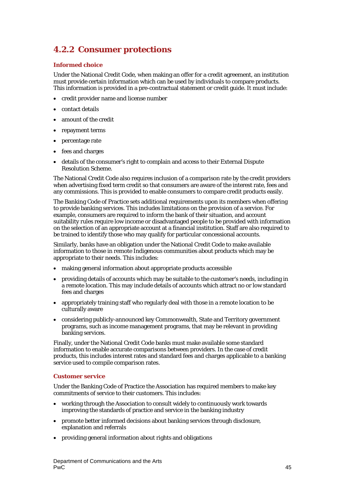# **4.2.2 Consumer protections**

## **Informed choice**

Under the National Credit Code, when making an offer for a credit agreement, an institution must provide certain information which can be used by individuals to compare products. This information is provided in a pre-contractual statement or credit guide. It must include:

- credit provider name and license number
- contact details
- amount of the credit
- repayment terms
- percentage rate
- fees and charges
- details of the consumer's right to complain and access to their External Dispute Resolution Scheme.

The National Credit Code also requires inclusion of a comparison rate by the credit providers when advertising fixed term credit so that consumers are aware of the interest rate, fees and any commissions. This is provided to enable consumers to compare credit products easily.

The Banking Code of Practice sets additional requirements upon its members when offering to provide banking services. This includes limitations on the provision of a service. For example, consumers are required to inform the bank of their situation, and account suitability rules require low income or disadvantaged people to be provided with information on the selection of an appropriate account at a financial institution. Staff are also required to be trained to identify those who may qualify for particular concessional accounts.

Similarly, banks have an obligation under the National Credit Code to make available information to those in remote Indigenous communities about products which may be appropriate to their needs. This includes:

- making general information about appropriate products accessible
- providing details of accounts which may be suitable to the customer's needs, including in a remote location. This may include details of accounts which attract no or low standard fees and charges
- appropriately training staff who regularly deal with those in a remote location to be culturally aware
- considering publicly-announced key Commonwealth, State and Territory government programs, such as income management programs, that may be relevant in providing banking services.

Finally, under the National Credit Code banks must make available some standard information to enable accurate comparisons between providers. In the case of credit products, this includes interest rates and standard fees and charges applicable to a banking service used to compile comparison rates.

#### **Customer service**

Under the Banking Code of Practice the Association has required members to make key commitments of service to their customers. This includes:

- working through the Association to consult widely to continuously work towards improving the standards of practice and service in the banking industry
- promote better informed decisions about banking services through disclosure, explanation and referrals
- providing general information about rights and obligations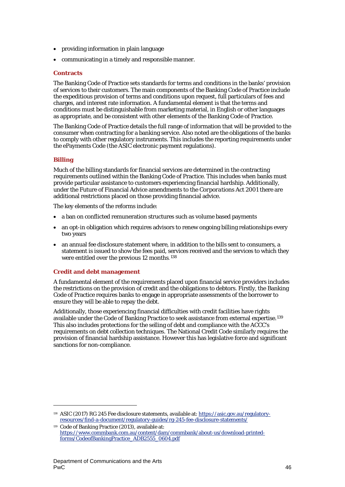- providing information in plain language
- communicating in a timely and responsible manner.

### **Contracts**

The Banking Code of Practice sets standards for terms and conditions in the banks' provision of services to their customers. The main components of the Banking Code of Practice include the expeditious provision of terms and conditions upon request, full particulars of fees and charges, and interest rate information. A fundamental element is that the terms and conditions must be distinguishable from marketing material, in English or other languages as appropriate, and be consistent with other elements of the Banking Code of Practice.

The Banking Code of Practice details the full range of information that will be provided to the consumer when contracting for a banking service. Also noted are the obligations of the banks to comply with other regulatory instruments. This includes the reporting requirements under the ePayments Code (the ASIC electronic payment regulations).

## **Billing**

 $\overline{a}$ 

Much of the billing standards for financial services are determined in the contracting requirements outlined within the Banking Code of Practice. This includes when banks must provide particular assistance to customers experiencing financial hardship. Additionally, under the Future of Financial Advice amendments to the *Corporations Act 2001* there are additional restrictions placed on those providing financial advice.

The key elements of the reforms include:

- a ban on conflicted remuneration structures such as volume based payments
- an opt-in obligation which requires advisors to renew ongoing billing relationships every two years
- an annual fee disclosure statement where, in addition to the bills sent to consumers, a statement is issued to show the fees paid, services received and the services to which they were entitled over the previous 12 months.<sup>[138](#page-46-0)</sup>

## **Credit and debt management**

A fundamental element of the requirements placed upon financial service providers includes the restrictions on the provision of credit and the obligations to debtors. Firstly, the Banking Code of Practice requires banks to engage in appropriate assessments of the borrower to ensure they will be able to repay the debt.

Additionally, those experiencing financial difficulties with credit facilities have rights available under the Code of Banking Practice to seek assistance from external expertise.[139](#page-46-1) This also includes protections for the selling of debt and compliance with the ACCC's requirements on debt collection techniques. The National Credit Code similarly requires the provision of financial hardship assistance. However this has legislative force and significant sanctions for non-compliance.

<span id="page-46-0"></span><sup>138</sup> ASIC (2017) RG 245 Fee disclosure statements, available at: [https://asic.gov.au/regulatory](https://asic.gov.au/regulatory-resources/find-a-document/regulatory-guides/rg-245-fee-disclosure-statements/)[resources/find-a-document/regulatory-guides/rg-245-fee-disclosure-statements/](https://asic.gov.au/regulatory-resources/find-a-document/regulatory-guides/rg-245-fee-disclosure-statements/)

<span id="page-46-1"></span><sup>139</sup> Code of Banking Practice (2013), available at: [https://www.commbank.com.au/content/dam/commbank/about-us/download-printed](https://www.commbank.com.au/content/dam/commbank/about-us/download-printed-forms/CodeofBankingPractice_ADB2555_0604.pdf)[forms/CodeofBankingPractice\\_ADB2555\\_0604.pdf](https://www.commbank.com.au/content/dam/commbank/about-us/download-printed-forms/CodeofBankingPractice_ADB2555_0604.pdf)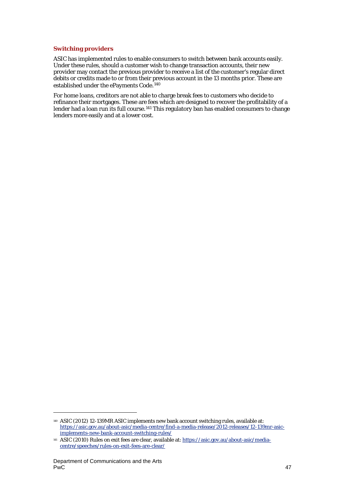## **Switching providers**

ASIC has implemented rules to enable consumers to switch between bank accounts easily. Under these rules, should a customer wish to change transaction accounts, their new provider may contact the previous provider to receive a list of the customer's regular direct debits or credits made to or from their previous account in the 13 months prior. These are established under the ePayments Code.<sup>[140](#page-47-0)</sup>

For home loans, creditors are not able to charge break fees to customers who decide to refinance their mortgages. These are fees which are designed to recover the profitability of a lender had a loan run its full course.<sup>[141](#page-47-1)</sup> This regulatory ban has enabled consumers to change lenders more easily and at a lower cost.

<span id="page-47-0"></span><sup>140</sup> ASIC (2012) 12-139MR ASIC implements new bank account switching rules, available at: [https://asic.gov.au/about-asic/media-centre/find-a-media-release/2012-releases/12-139mr-asic](https://asic.gov.au/about-asic/media-centre/find-a-media-release/2012-releases/12-139mr-asic-implements-new-bank-account-switching-rules/)[implements-new-bank-account-switching-rules/](https://asic.gov.au/about-asic/media-centre/find-a-media-release/2012-releases/12-139mr-asic-implements-new-bank-account-switching-rules/)

<span id="page-47-1"></span><sup>141</sup> ASIC (2010) Rules on exit fees are clear, available at: [https://asic.gov.au/about-asic/media](https://asic.gov.au/about-asic/media-centre/speeches/rules-on-exit-fees-are-clear/)[centre/speeches/rules-on-exit-fees-are-clear/](https://asic.gov.au/about-asic/media-centre/speeches/rules-on-exit-fees-are-clear/)